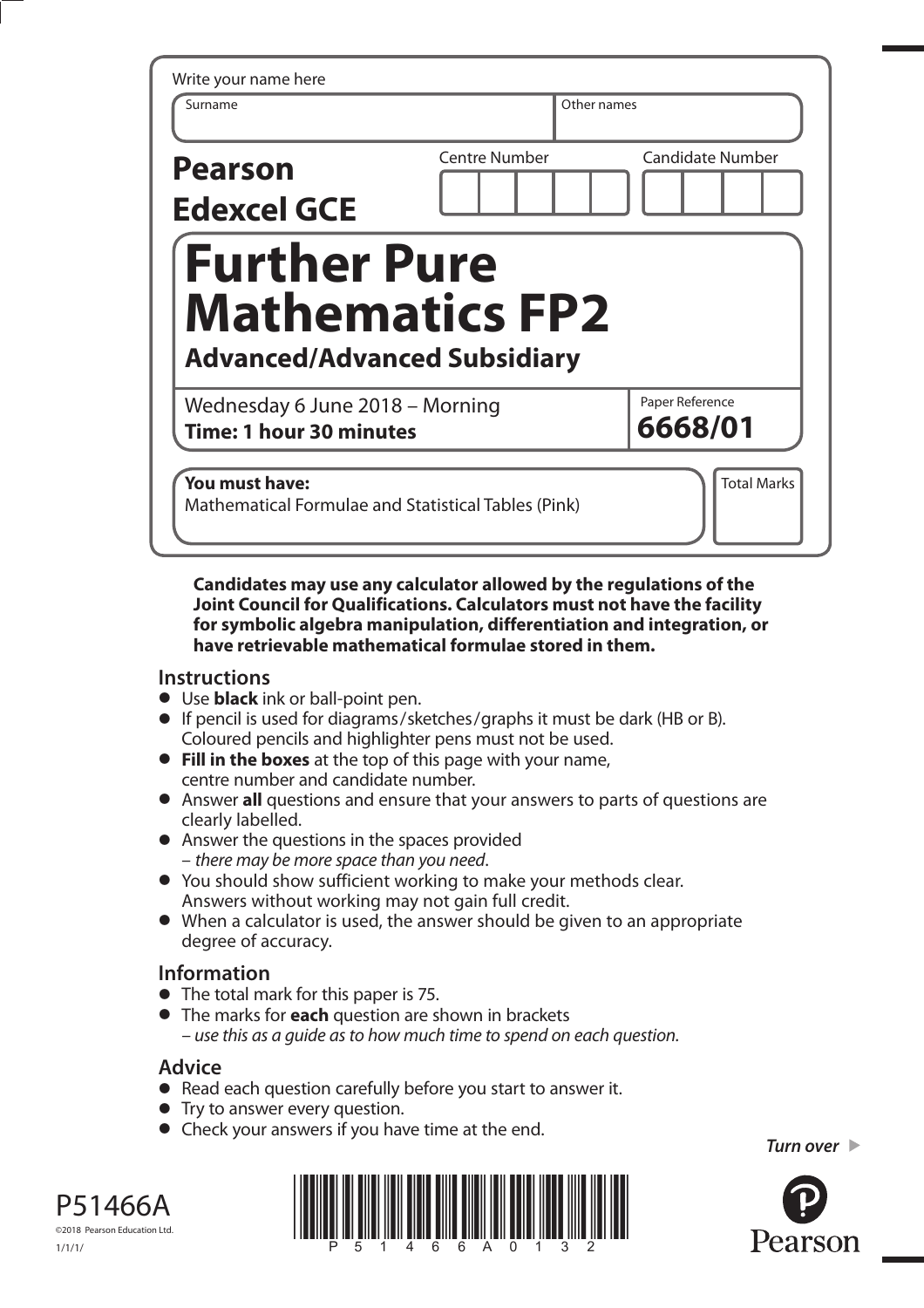| <b>Centre Number</b>                                                                 | <b>Candidate Number</b>    |
|--------------------------------------------------------------------------------------|----------------------------|
|                                                                                      |                            |
| <b>Further Pure</b><br><b>Mathematics FP2</b><br><b>Advanced/Advanced Subsidiary</b> |                            |
| Wednesday 6 June 2018 - Morning<br><b>Time: 1 hour 30 minutes</b>                    | Paper Reference<br>6668/01 |
|                                                                                      |                            |

**Candidates may use any calculator allowed by the regulations of the Joint Council for Qualifications. Calculators must not have the facility for symbolic algebra manipulation, differentiation and integration, or have retrievable mathematical formulae stored in them.**

## **Instructions**

- Use **black** ink or ball-point pen.
- If pencil is used for diagrams/sketches/graphs it must be dark (HB or B).
- Coloured pencils and highlighter pens must not be used.  **Fill in the boxes** at the top of this page with your name, centre number and candidate number.
- Answer **all** questions and ensure that your answers to parts of questions are clearly labelled.
- Answer the questions in the spaces provided – there may be more space than you need.
- You should show sufficient working to make your methods clear. Answers without working may not gain full credit.
- When a calculator is used, the answer should be given to an appropriate degree of accuracy.

## **Information**

- The total mark for this paper is 75.
- The marks for **each** question are shown in brackets – use this as a guide as to how much time to spend on each question.

## **Advice**

- Read each question carefully before you start to answer it.
- Try to answer every question.
- Check your answers if you have time at the end.

*Turn over* 



P51466A ©2018 Pearson Education Ltd. 1/1/1/

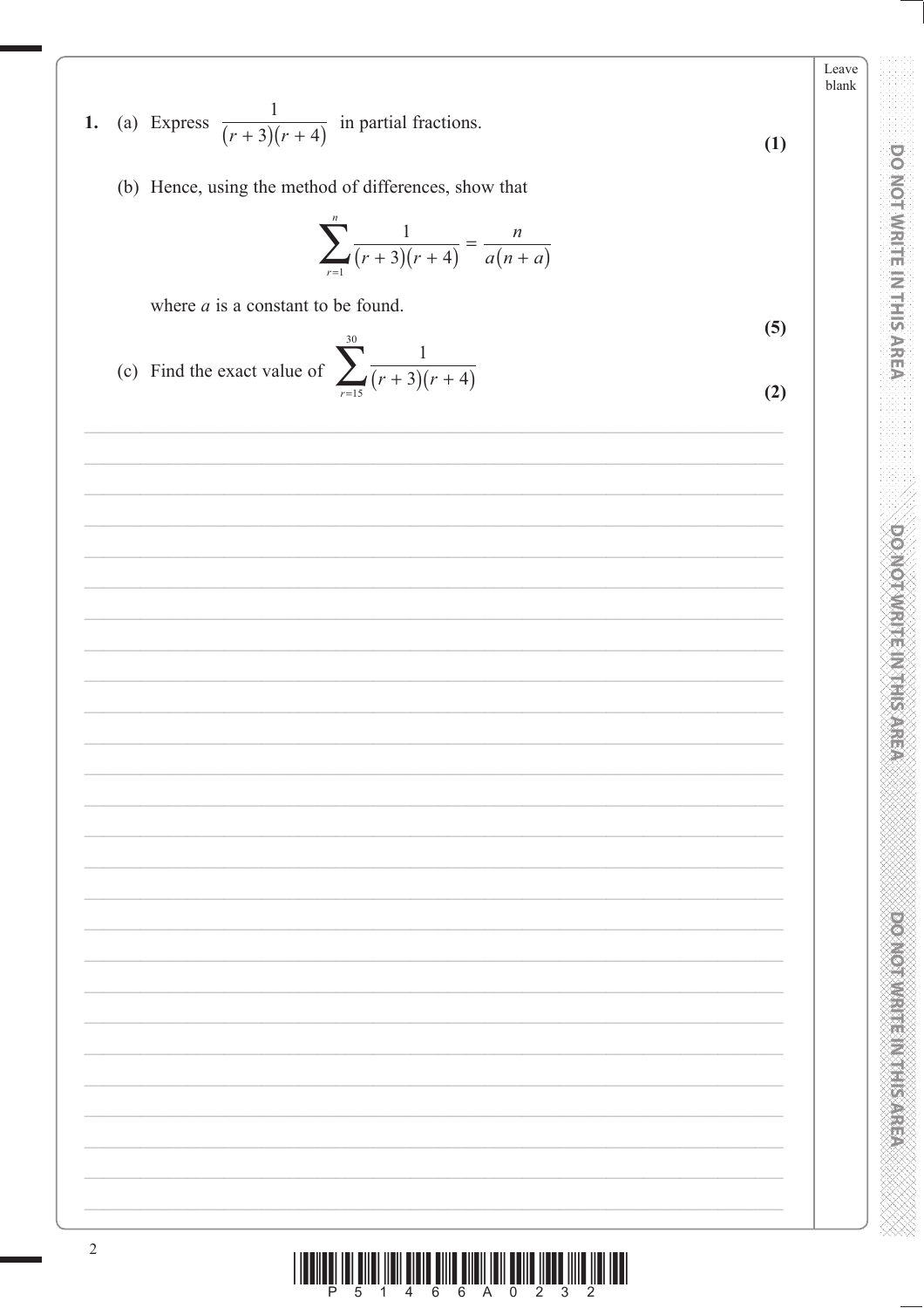1. (a) Express 
$$
\frac{1}{(r+3)(r+4)}
$$
 in partial fractions.  
\n(b) Hence, using the method of differences, show that\n
$$
\sum_{r=1}^{n} \frac{1}{(r+3)(r+4)} = \frac{n}{a(n+a)}
$$
\nwhere *a* is a constant to be found.  
\n(c) Find the exact value of 
$$
\sum_{r=15}^{n} \frac{1}{(r+3)(r+4)}
$$
\n(2)

Leave

**DO NOT WRITE IN THIS AREA** 

**POMOTIVE MITHING** 

**DOMOTIVE IN EAST ASSESS** 

XXXX

Þ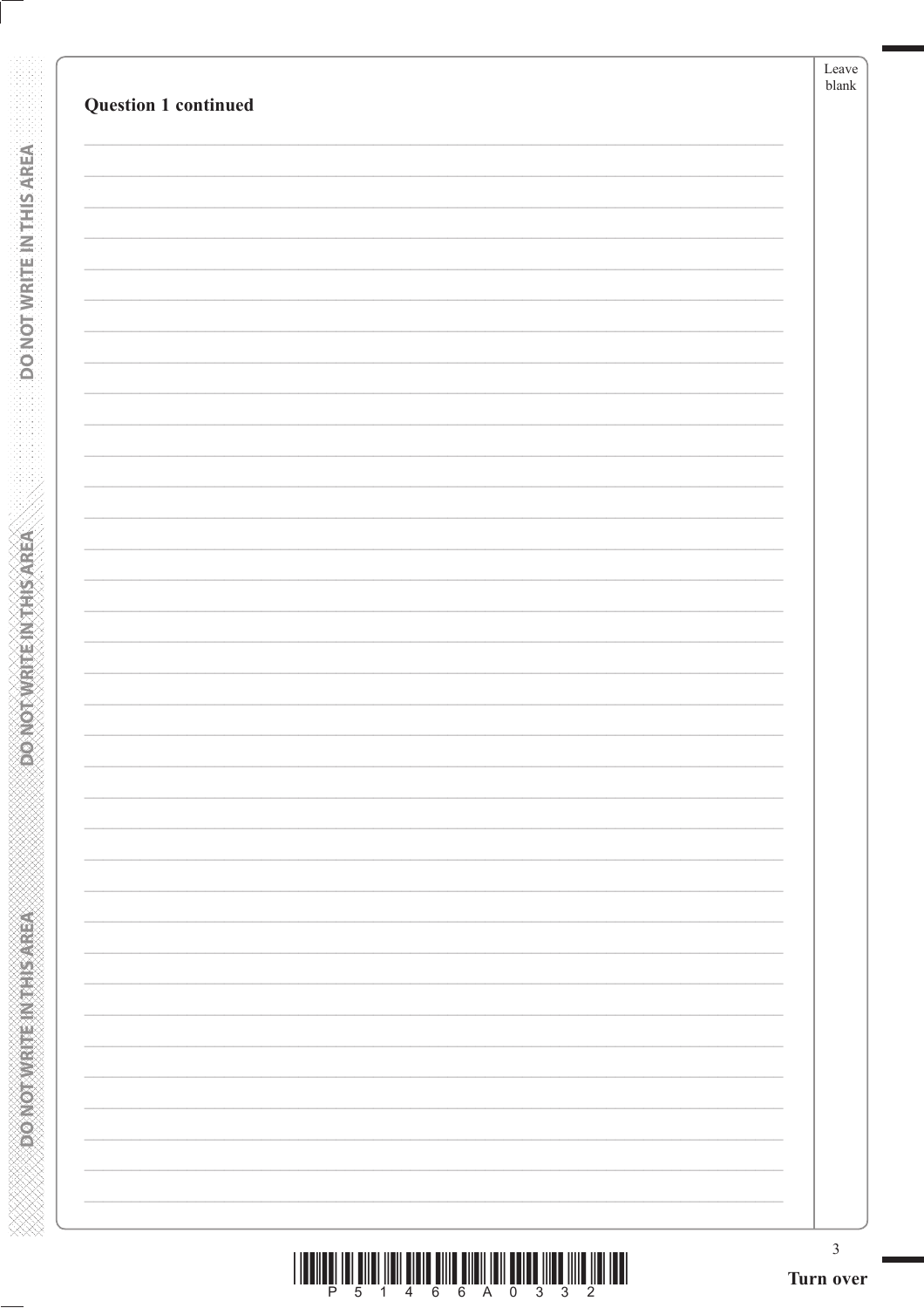| Question 1 continued | Leave<br>blank |
|----------------------|----------------|
|                      |                |
|                      |                |
|                      |                |
|                      |                |
|                      |                |
|                      |                |
|                      |                |
|                      |                |
|                      |                |
|                      |                |
|                      |                |
|                      |                |
|                      |                |
|                      |                |
|                      |                |
|                      |                |
|                      |                |
|                      |                |
|                      |                |
|                      |                |
|                      |                |
|                      |                |
|                      |                |
|                      |                |
|                      |                |
|                      |                |
|                      | $\mathfrak{Z}$ |

**RONOTWATENTHISAREA** 

**Expression Controller Concepts** 

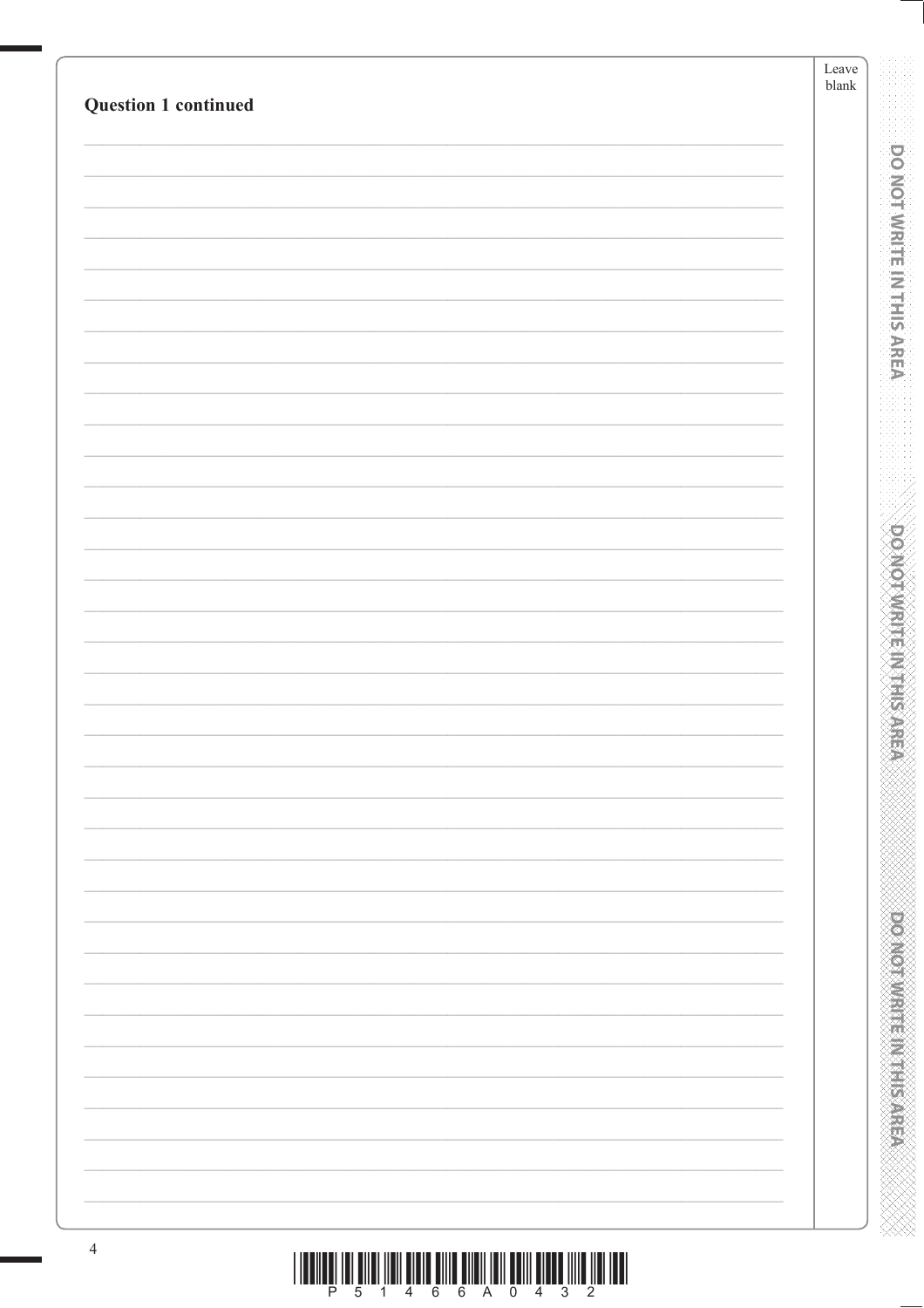| <b>Question 1 continued</b> | Leave<br>$\ensuremath{\mathit{blank}}$ |
|-----------------------------|----------------------------------------|
|                             |                                        |
|                             |                                        |
|                             |                                        |
|                             |                                        |
|                             |                                        |
|                             |                                        |
|                             |                                        |
|                             |                                        |
|                             |                                        |
|                             |                                        |
|                             |                                        |
|                             |                                        |
|                             |                                        |
|                             |                                        |
|                             |                                        |
|                             |                                        |
|                             |                                        |
|                             |                                        |
|                             |                                        |
|                             |                                        |
|                             |                                        |
|                             |                                        |
|                             |                                        |
|                             |                                        |
|                             |                                        |
|                             |                                        |
|                             |                                        |
|                             |                                        |
|                             |                                        |
|                             |                                        |
|                             |                                        |
|                             |                                        |
|                             |                                        |
|                             |                                        |
|                             |                                        |
|                             |                                        |
|                             |                                        |
|                             |                                        |
|                             |                                        |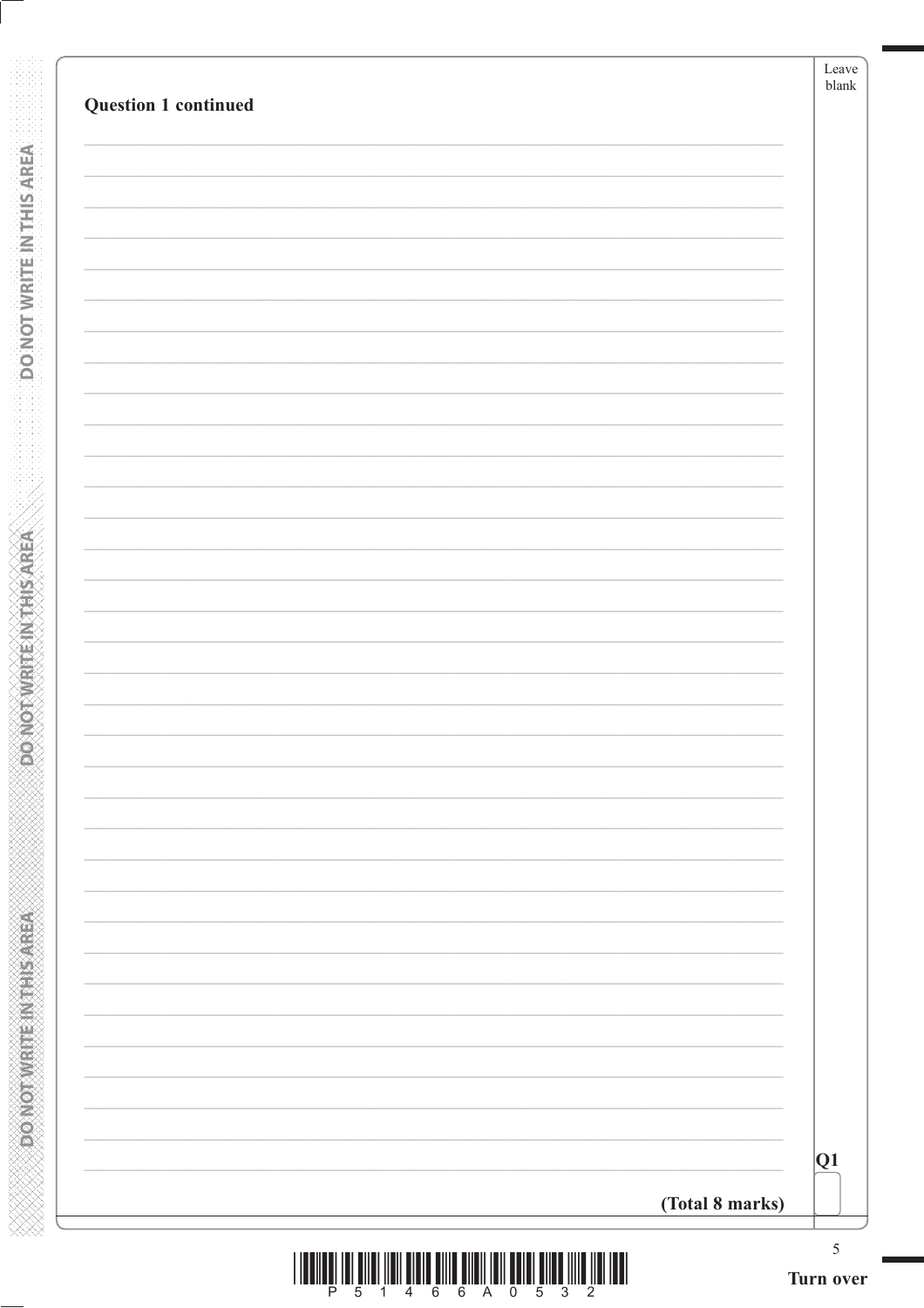| Question 1 continued |                 | Leave<br>blank |
|----------------------|-----------------|----------------|
|                      |                 |                |
|                      |                 |                |
|                      |                 |                |
|                      |                 |                |
|                      |                 |                |
|                      |                 |                |
|                      |                 |                |
|                      |                 |                |
|                      |                 |                |
|                      |                 |                |
|                      |                 |                |
|                      |                 |                |
|                      |                 |                |
|                      |                 |                |
|                      |                 |                |
|                      |                 |                |
|                      |                 |                |
|                      |                 | Q1             |
|                      | (Total 8 marks) |                |

**RONOTWATENTHISAREA** 

**DONOTWRITEINTHISAREA**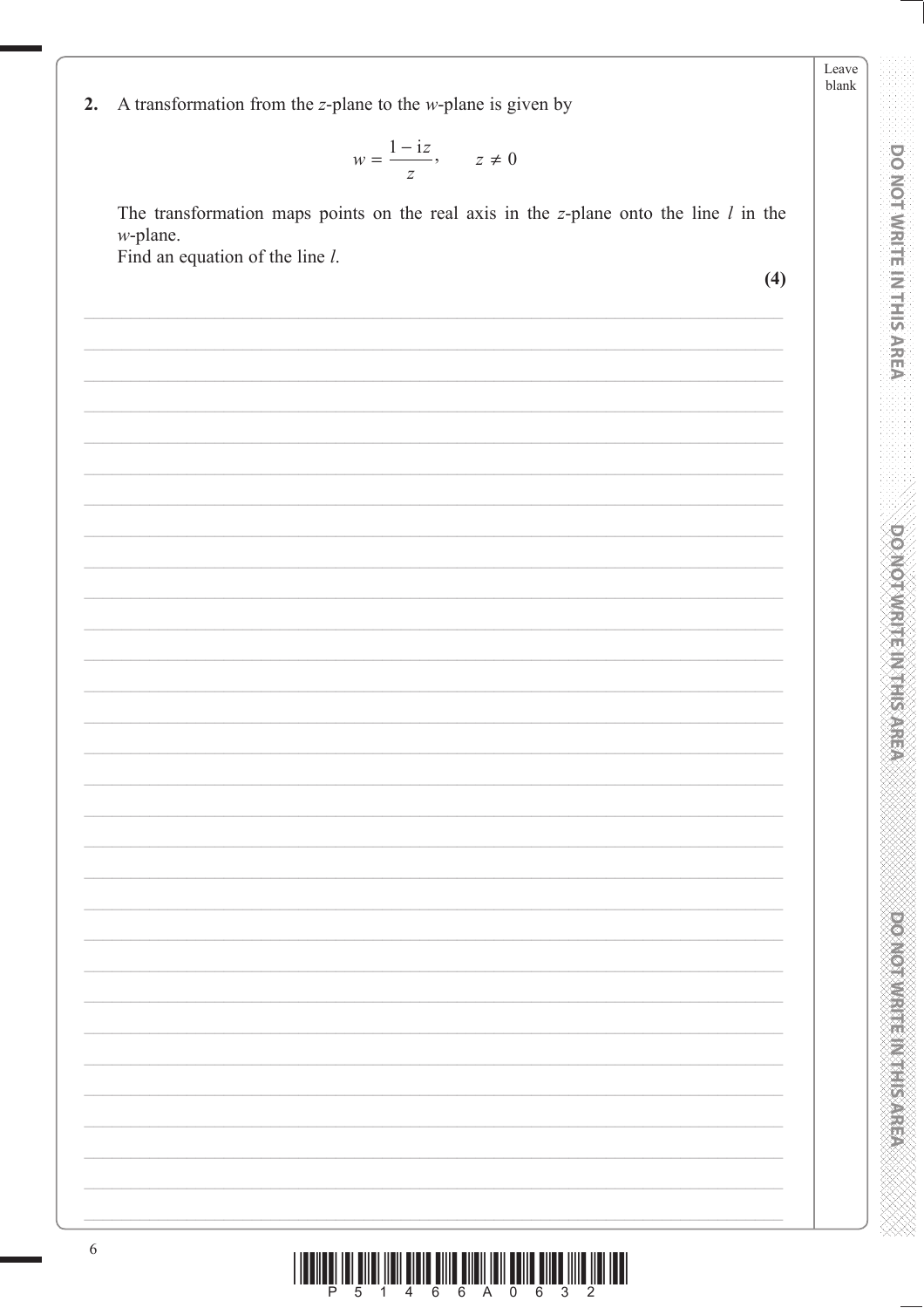Leave blank

**DO NOT WRITE IN THIS AREA** 

**DOMOTIVISITION STREP** 

**PONODIAL PROPERTY** 

A transformation from the  $z$ -plane to the  $w$ -plane is given by  $2.$ 

$$
w = \frac{1 - iz}{z}, \qquad z \neq 0
$$

The transformation maps points on the real axis in the  $z$ -plane onto the line  $l$  in the  $w$ -plane.

Find an equation of the line l.

 $(4)$ 

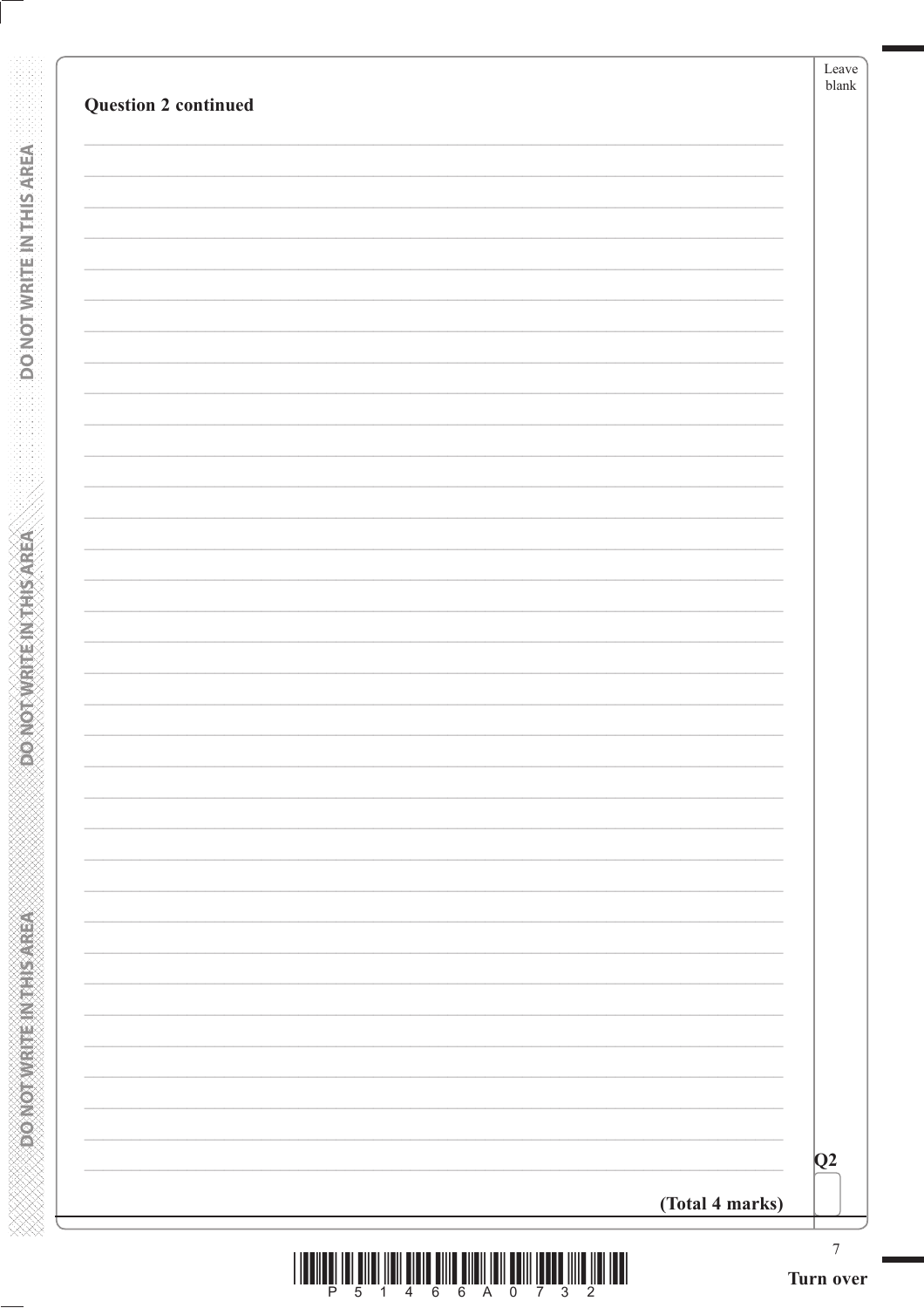| <b>Question 2 continued</b> |                 | Leave<br>$\ensuremath{\textrm{blank}}$ |
|-----------------------------|-----------------|----------------------------------------|
|                             |                 |                                        |
|                             |                 |                                        |
|                             |                 |                                        |
|                             |                 |                                        |
|                             |                 |                                        |
|                             |                 |                                        |
|                             |                 |                                        |
|                             |                 |                                        |
|                             |                 |                                        |
|                             |                 |                                        |
|                             |                 |                                        |
|                             |                 |                                        |
|                             |                 |                                        |
|                             |                 |                                        |
|                             |                 |                                        |
|                             |                 |                                        |
|                             |                 |                                        |
|                             |                 |                                        |
|                             |                 |                                        |
|                             |                 |                                        |
|                             |                 |                                        |
|                             |                 |                                        |
|                             |                 | $\overline{Q}2$                        |
|                             | (Total 4 marks) |                                        |
|                             |                 |                                        |

**BONOTWATENTHISAREA** 

**RENEWALK CONCORDING** 

|  |  | <u> Bilim Bilim in bilim Bilim Bilim bilim bilim bilim bilim bilim bilim bilim bilim bilim bilim bilim bilim bili</u> |  |  |  |  |
|--|--|-----------------------------------------------------------------------------------------------------------------------|--|--|--|--|
|  |  | P 5 1 4 6 6 A 0 7 3 2                                                                                                 |  |  |  |  |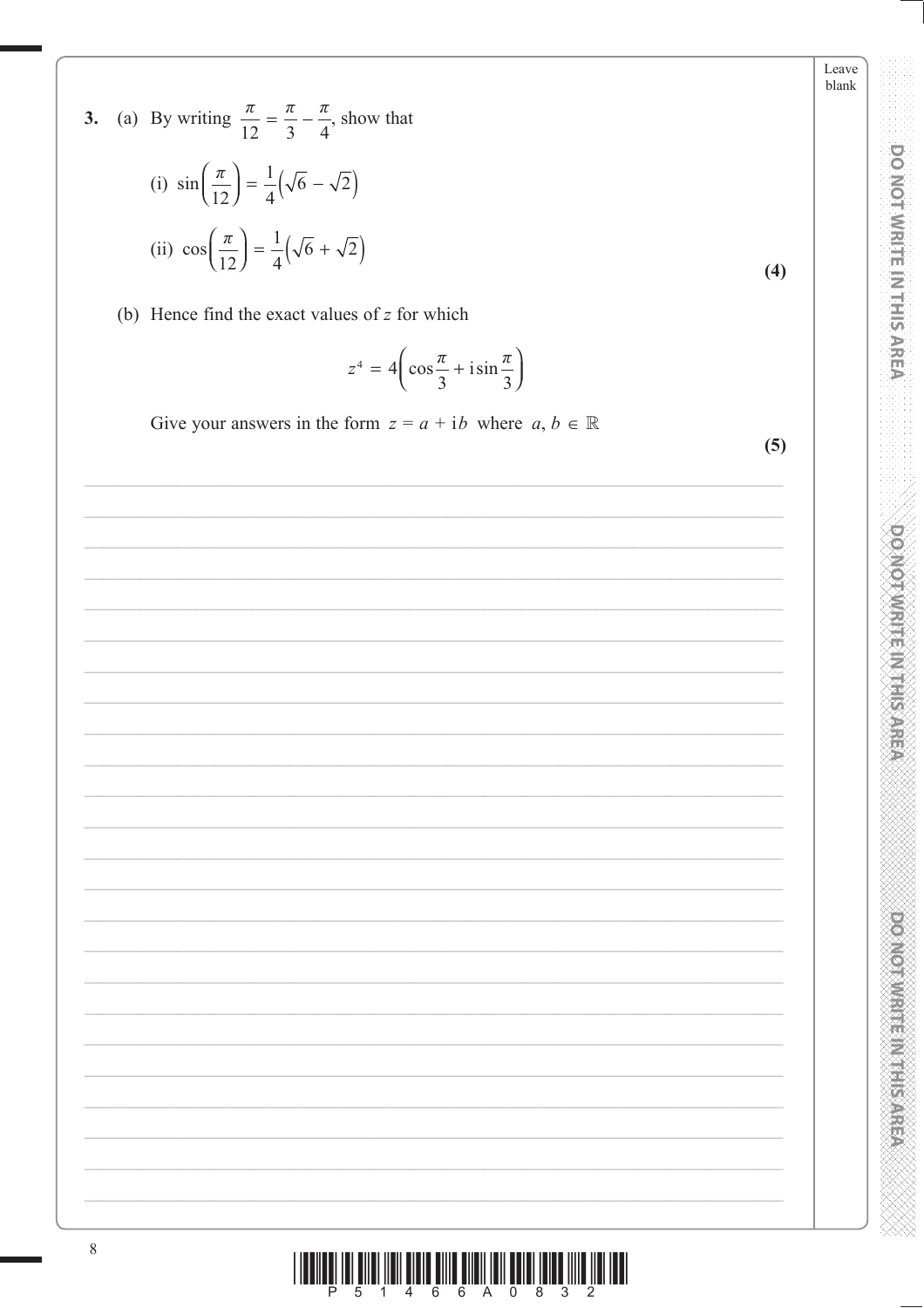3. (a) By writing  $\frac{\pi}{12} = \frac{\pi}{3} - \frac{\pi}{4}$ , show that (i)  $\sin\left(\frac{\pi}{12}\right) = \frac{1}{4}(\sqrt{6} - \sqrt{2})$ (ii)  $\cos\left(\frac{\pi}{12}\right) = \frac{1}{4}(\sqrt{6} + \sqrt{2})$  $(4)$ 

(b) Hence find the exact values of  $z$  for which

$$
z^4 = 4\left(\cos\frac{\pi}{3} + i\sin\frac{\pi}{3}\right)
$$

Give your answers in the form  $z = a + ib$  where  $a, b \in \mathbb{R}$ 

 $(5)$ 

Leave blank

**DO NOT WRITE IN THIS AREA** 

**DOMOTIVIRE IN THE STREP** 

**DOMOTIVE INTERNATION**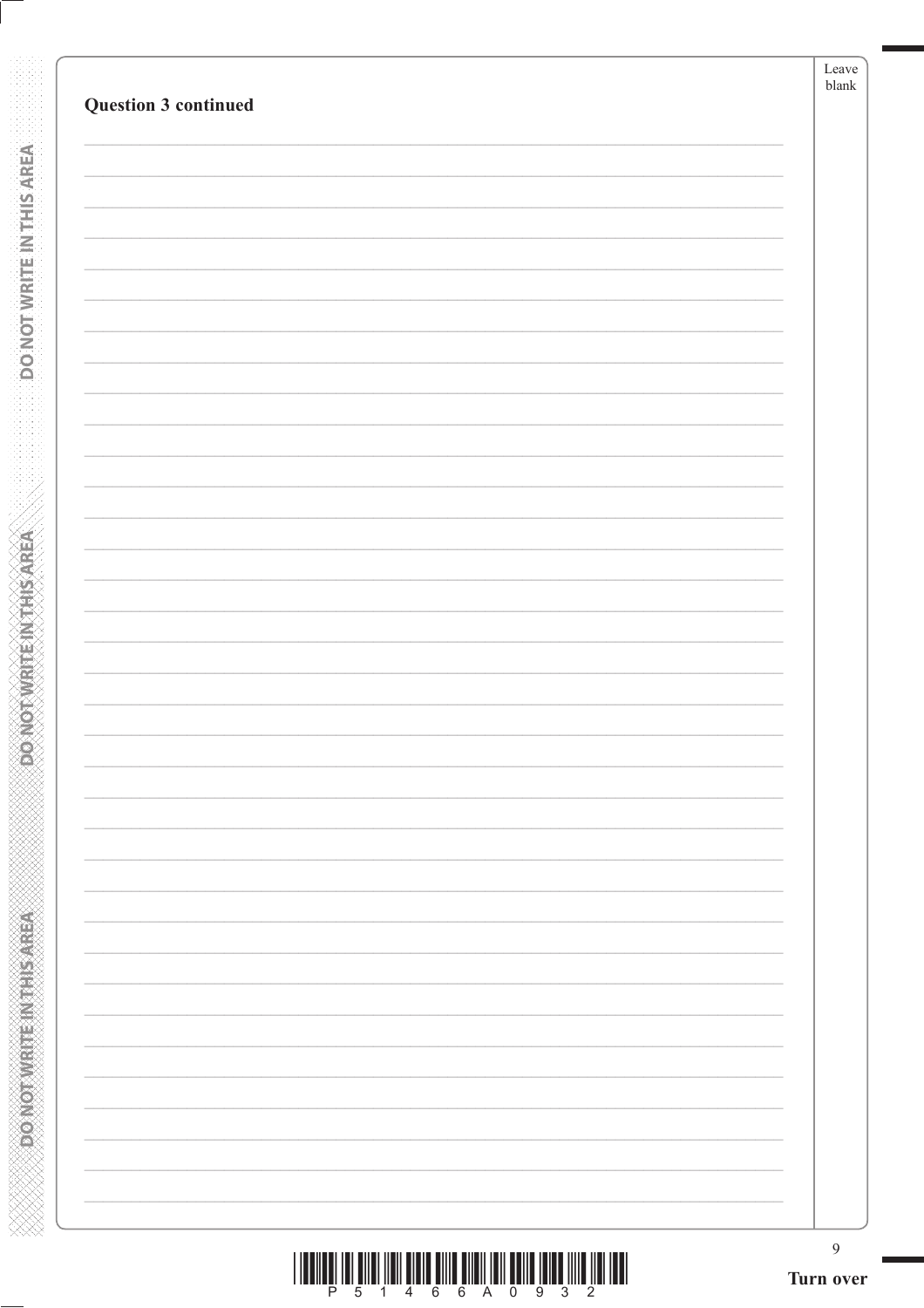| Question 3 continued | Leave<br>${\tt blank}$ |
|----------------------|------------------------|
|                      |                        |
|                      |                        |
|                      |                        |
|                      |                        |
|                      |                        |
|                      |                        |
|                      |                        |
|                      |                        |
|                      |                        |
|                      |                        |
|                      |                        |
|                      |                        |
|                      |                        |
|                      |                        |
|                      |                        |
|                      |                        |
|                      |                        |
|                      |                        |
|                      |                        |
|                      |                        |
|                      |                        |
|                      |                        |
|                      |                        |
|                      |                        |
|                      |                        |
|                      |                        |
|                      |                        |
|                      | 9                      |

**RONOTWATENTHISAREA** 

**SOONOT WRITEIN THIS AREA** 

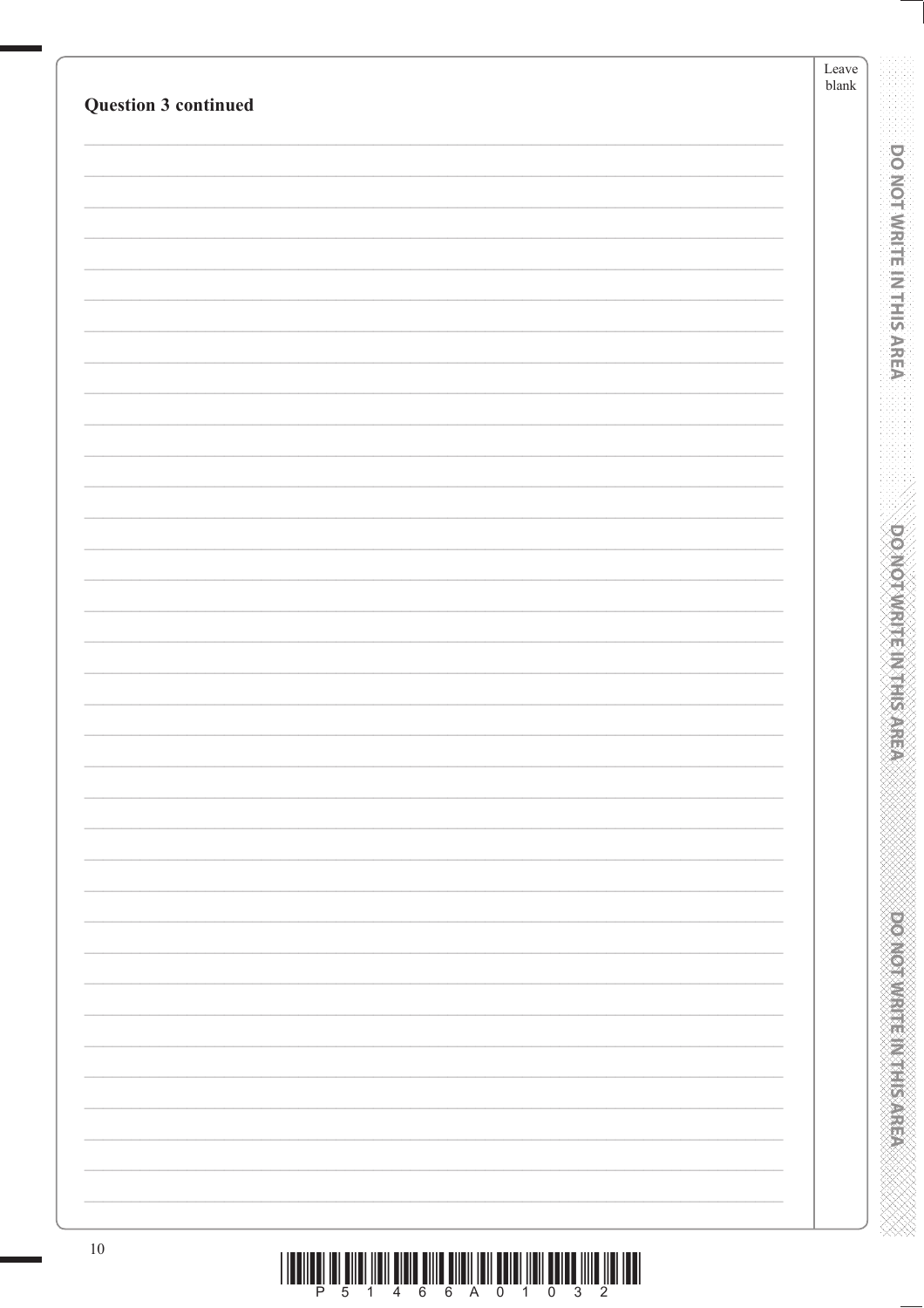| Question 3 continued | Leave<br>${\it blank}$ |
|----------------------|------------------------|
|                      |                        |
|                      |                        |
|                      |                        |
|                      |                        |
|                      |                        |
|                      |                        |
|                      |                        |
|                      |                        |
|                      |                        |
|                      |                        |
|                      |                        |
|                      |                        |
|                      |                        |
|                      |                        |
|                      |                        |
|                      |                        |
|                      |                        |
|                      |                        |
|                      |                        |
|                      |                        |
|                      |                        |
|                      |                        |
|                      |                        |
|                      |                        |
|                      |                        |
| $10\,$               |                        |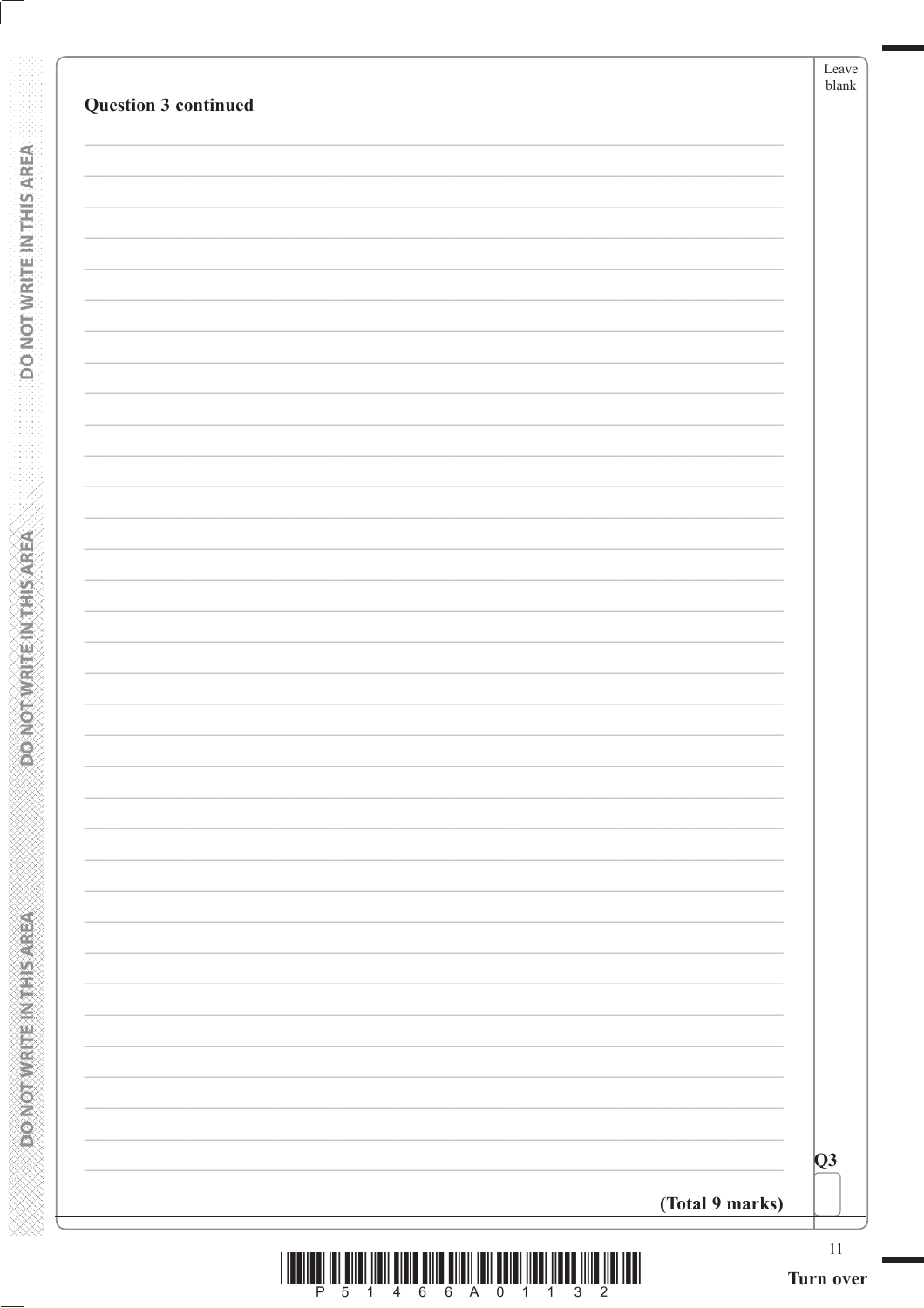| (Total 9 marks) |
|-----------------|

**DONOTWRITE INTHIS AREA** 

**ACTAINS IN THE THANKS CONCOR** 

XXXXXXXXXXXXXXXXXXXXXXXXXXXX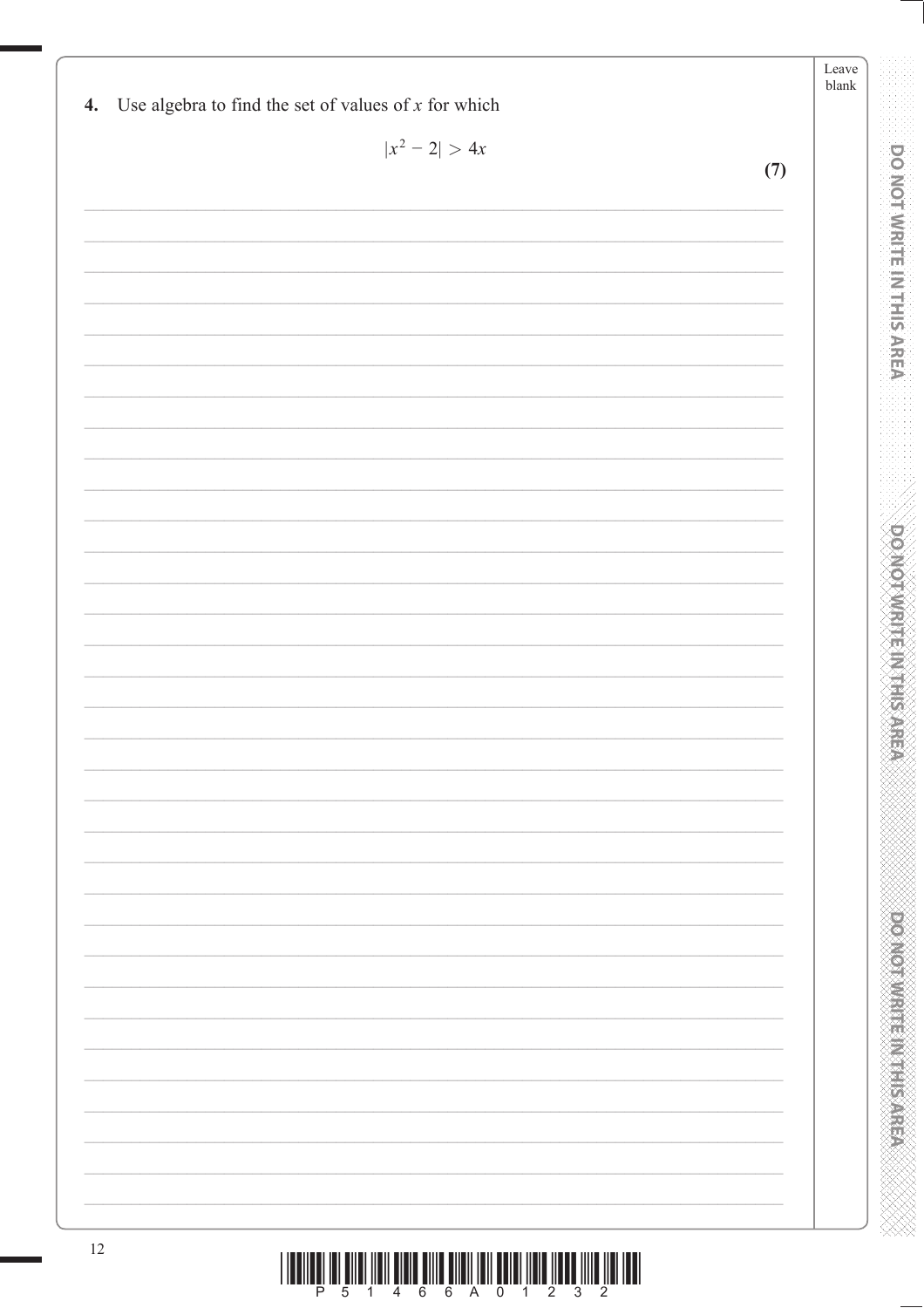| $ x^2-2  > 4x$ |     |  |
|----------------|-----|--|
|                | (7) |  |
|                |     |  |
|                |     |  |
|                |     |  |
|                |     |  |
|                |     |  |
|                |     |  |
|                |     |  |
|                |     |  |
|                |     |  |
|                |     |  |
|                |     |  |
|                |     |  |
|                |     |  |
|                |     |  |
|                |     |  |
|                |     |  |
|                |     |  |
|                |     |  |
|                |     |  |
|                |     |  |
|                |     |  |
|                |     |  |
|                |     |  |
|                |     |  |
|                |     |  |
|                |     |  |
|                |     |  |
|                |     |  |
|                |     |  |
|                |     |  |
|                |     |  |
|                |     |  |
|                |     |  |
|                |     |  |
|                |     |  |
|                |     |  |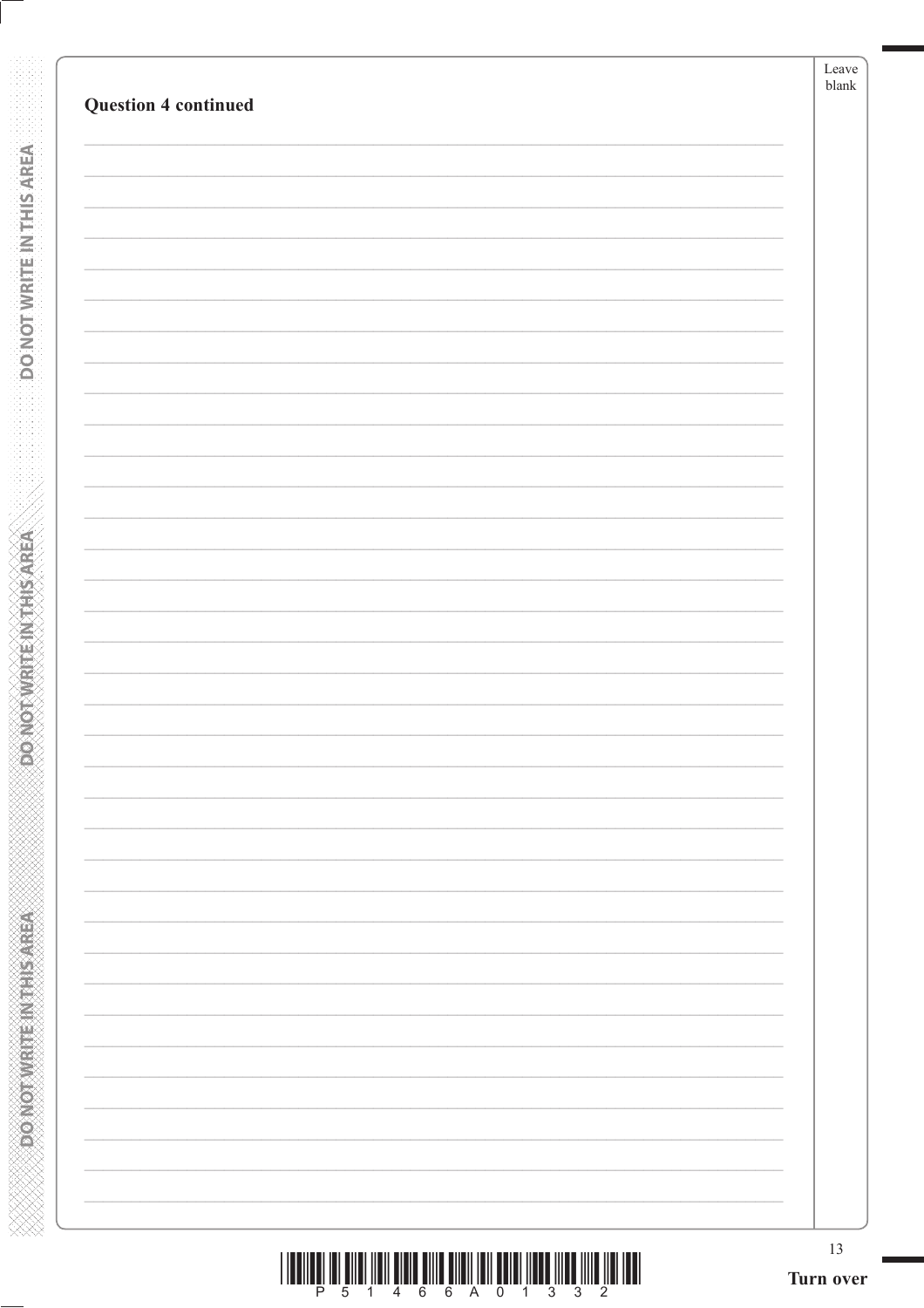| 13<br>Turn over |
|-----------------|
|                 |
|                 |
|                 |
|                 |
|                 |
|                 |
|                 |
|                 |
|                 |
|                 |
|                 |
|                 |
|                 |
|                 |
|                 |
|                 |
|                 |
|                 |
|                 |
|                 |
|                 |
|                 |
|                 |
|                 |
|                 |
|                 |
|                 |
|                 |
|                 |
|                 |
|                 |
|                 |
|                 |
|                 |
|                 |
|                 |
|                 |
|                 |
|                 |

**DONOTWEITEINTHIS AREA** 

**Expression what Elixabet Aristo** 

|  | <u>ILI I DI BILI ILI DI LE BILI DI LI BILI DI LI BILI DI LI BILI DI LI BILI DI LI BILI DI LI BILI DI LI BILI DI L</u> |  |  |  |  |  |  |
|--|-----------------------------------------------------------------------------------------------------------------------|--|--|--|--|--|--|
|  |                                                                                                                       |  |  |  |  |  |  |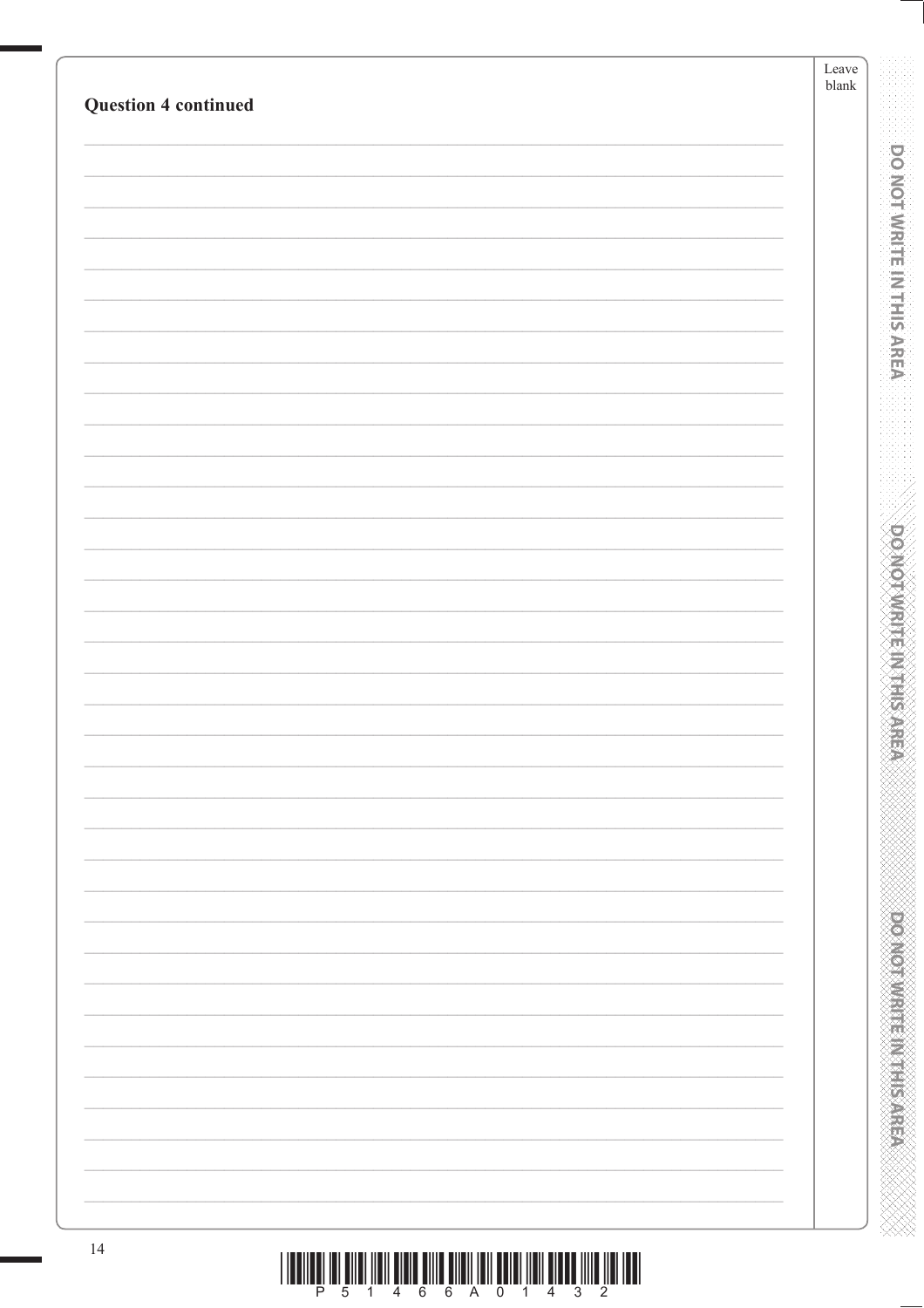| <b>Question 4 continued</b> | Leave<br>${\it blank}$ |
|-----------------------------|------------------------|
|                             |                        |
|                             |                        |
|                             |                        |
|                             |                        |
|                             |                        |
|                             |                        |
|                             |                        |
|                             |                        |
|                             |                        |
|                             |                        |
|                             |                        |
|                             |                        |
|                             |                        |
|                             |                        |
|                             |                        |
|                             |                        |
|                             |                        |
|                             |                        |
|                             |                        |
|                             |                        |
|                             |                        |
|                             |                        |
|                             |                        |
|                             |                        |
|                             |                        |
|                             |                        |
|                             |                        |
|                             |                        |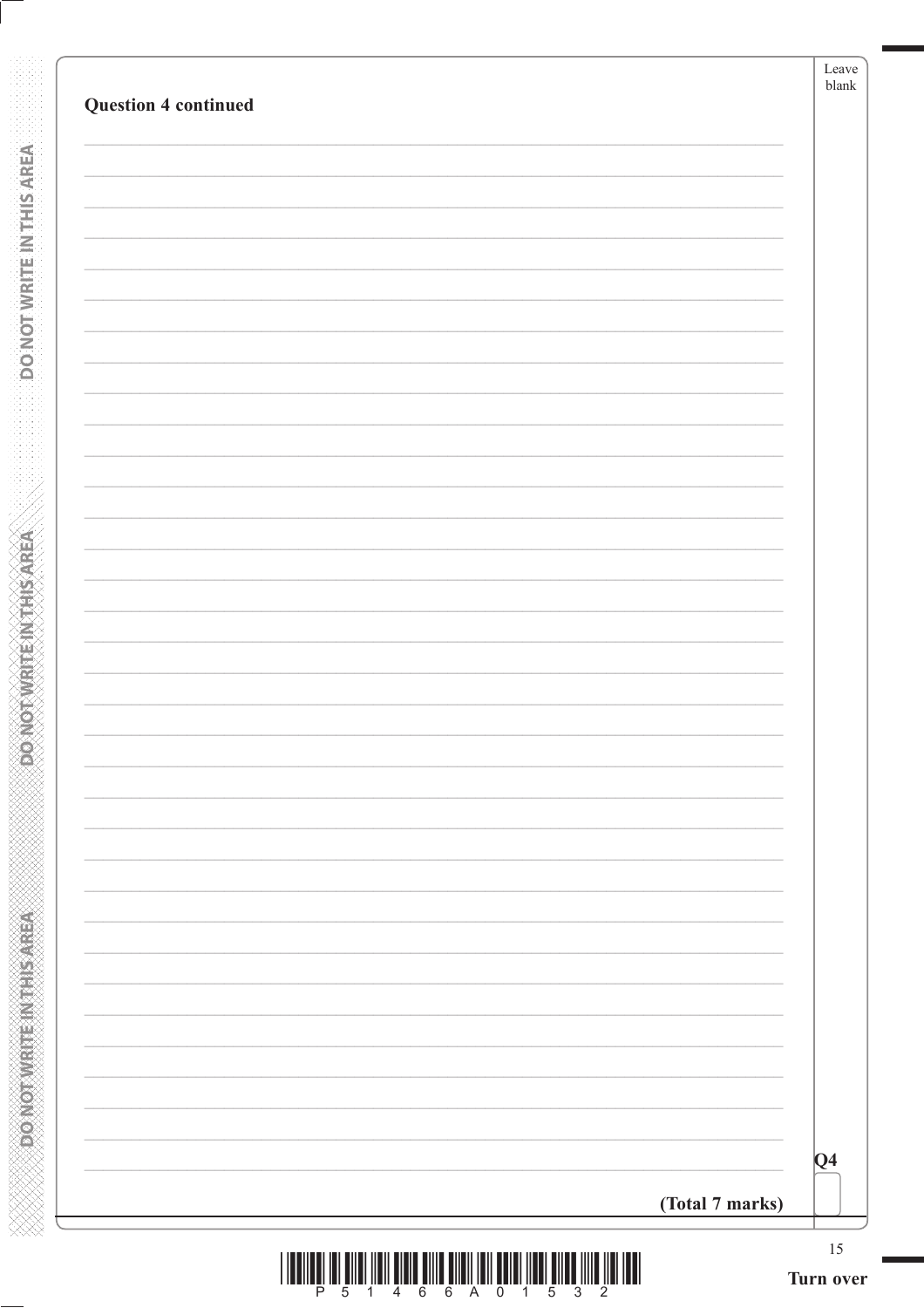| $\overline{Q4}$ |
|-----------------|

**DONOTWRITE INTHIS AREA** 

**PONOTWRITEINITHSAREA** 

**ANNAN ANNAN ANNAN ANNAN ANNAN ANN** 

 $\begin{array}{c} \text{if} \ \text{if} \ \text{if} \ \text{if} \ \text{if} \ \text{if} \ \text{if} \ \text{if} \ \text{if} \ \text{if} \ \text{if} \ \text{if} \ \text{if} \ \text{if} \ \text{if} \ \text{if} \ \text{if} \ \text{if} \ \text{if} \ \text{if} \ \text{if} \ \text{if} \ \text{if} \ \text{if} \ \text{if} \ \text{if} \ \text{if} \ \text{if} \ \text{if} \ \text{if} \ \text{if} \ \text{if} \ \text{if} \ \text{if} \ \text{if} \ \text{$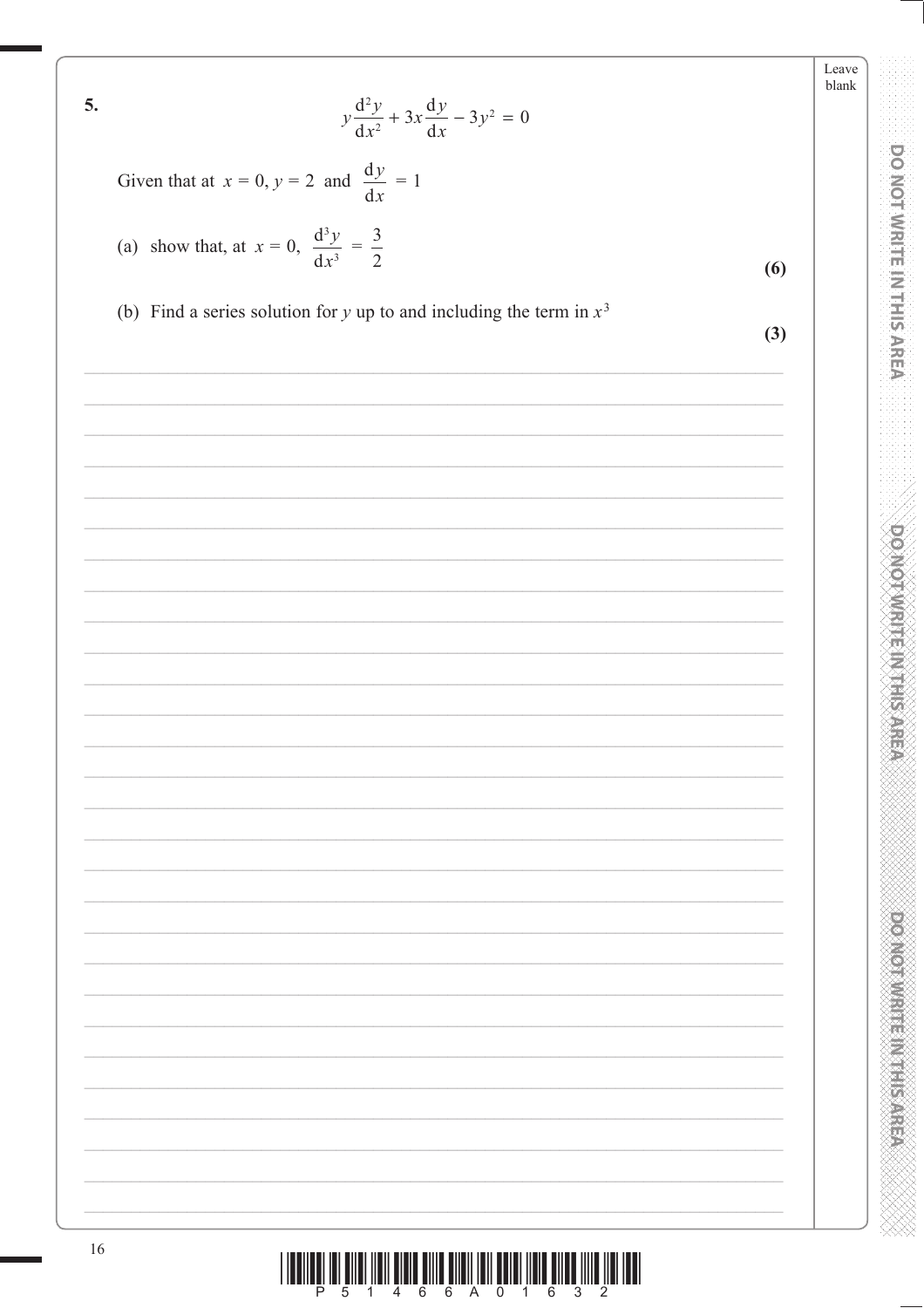5. 
$$
y \frac{d^2y}{dx^2} + 3x \frac{dy}{dx} - 3y^2 = 0
$$
  
\nGiven that at  $x = 0$ ,  $y = 2$  and  $\frac{dy}{dx} = 1$   
\n(a) show that, at  $x = 0$ ,  $\frac{d^3y}{dx^3} = \frac{3}{2}$   
\n(b) Find a series solution for y up to and including the term in  $x^3$  (3)

Leave blank

**DO NOT WRITE IN THIS AREA AREA** 

**ACTIVISTICAL CONTRACTOR**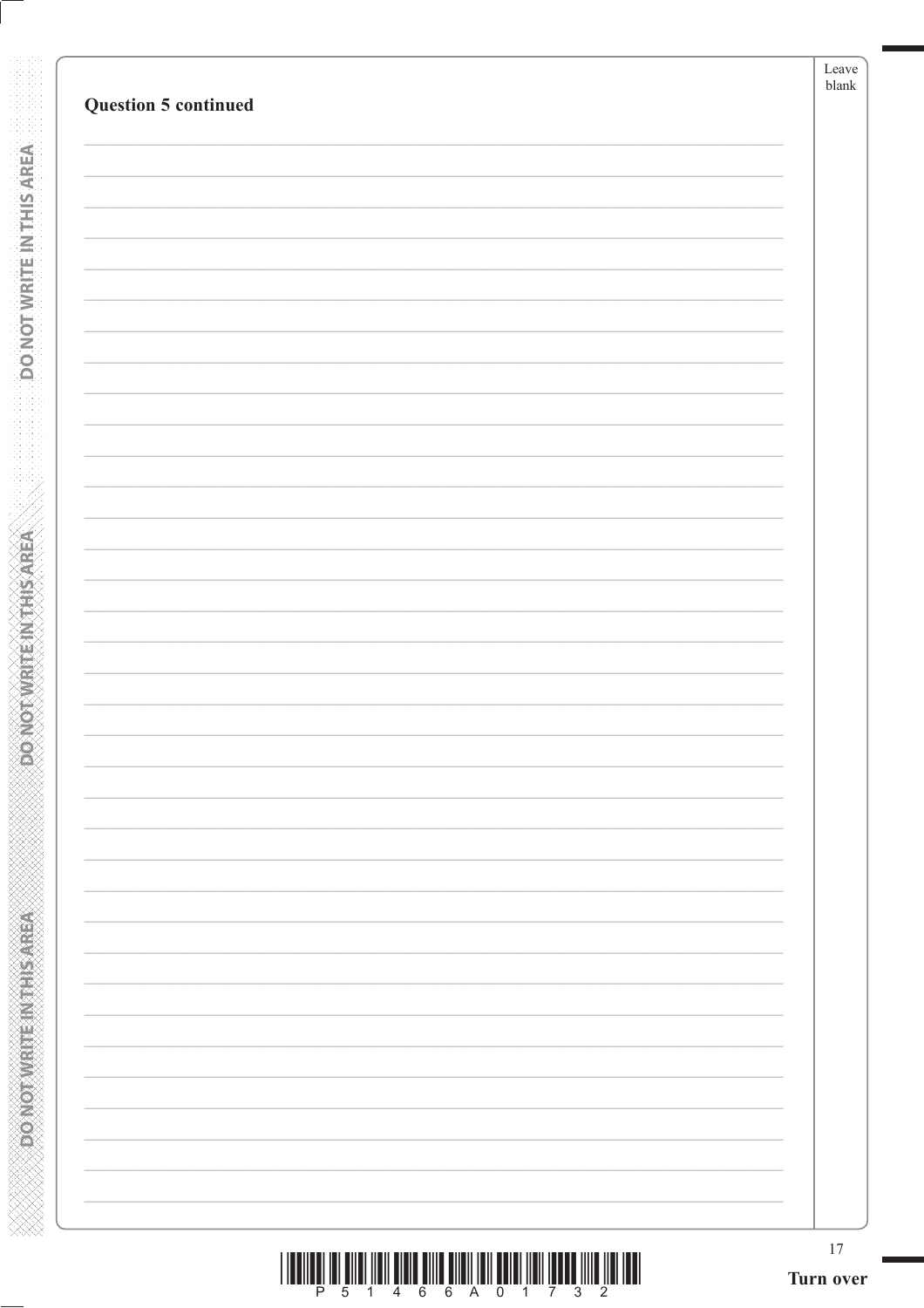| <b>Question 5 continued</b> | blank |
|-----------------------------|-------|

**DONOTWATE INTHIS AREA** 

**ASSESSMENT PRODUCTION** 

|  |  |  | P 5 1 4 6 6 A 0 1 7 3 2 |  |  |  |
|--|--|--|-------------------------|--|--|--|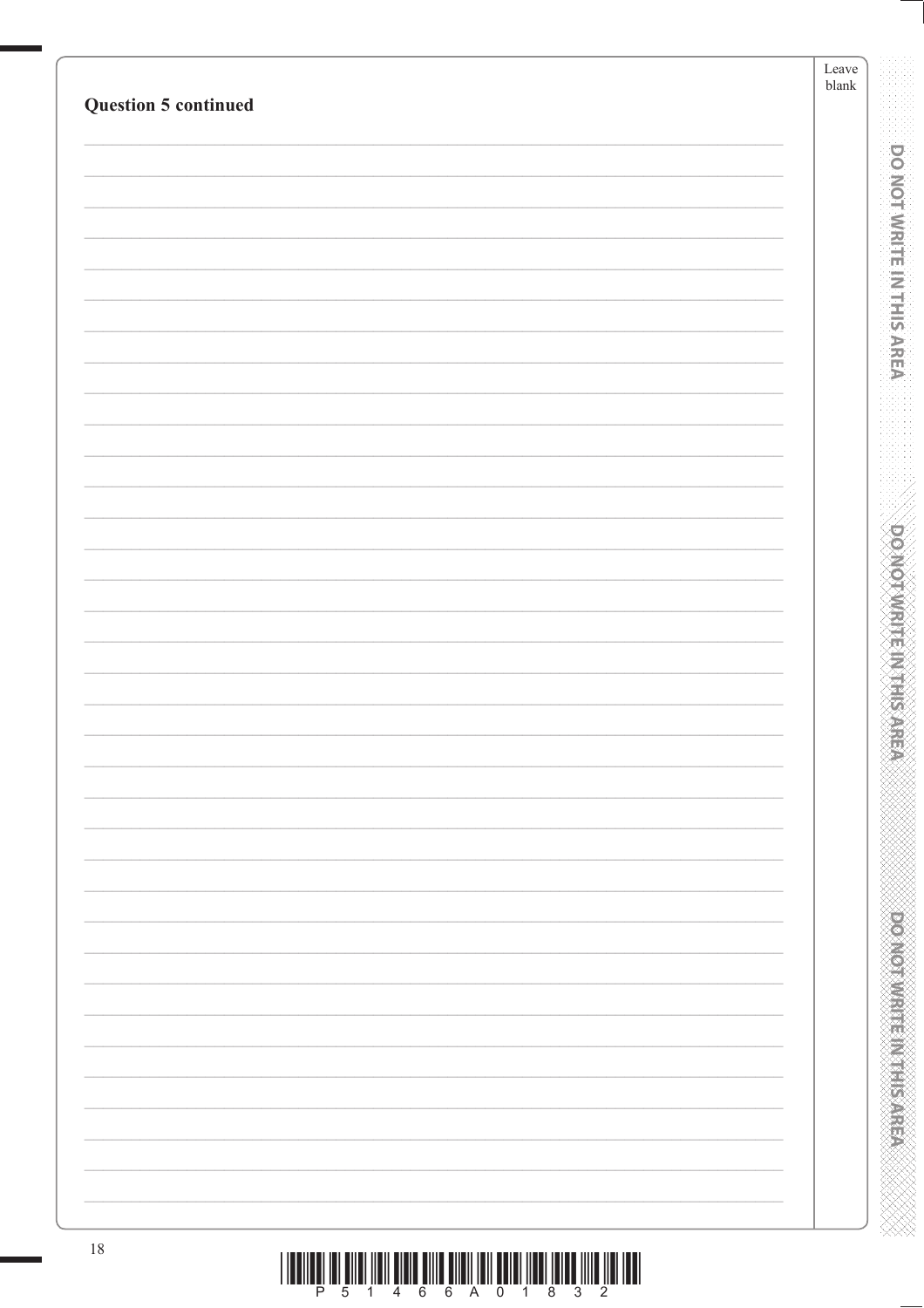| <b>Question 5 continued</b> | Leave<br>${\it blank}$ |
|-----------------------------|------------------------|
|                             |                        |
|                             |                        |
|                             |                        |
|                             |                        |
|                             |                        |
|                             |                        |
|                             |                        |
|                             |                        |
|                             |                        |
|                             |                        |
|                             |                        |
|                             |                        |
|                             |                        |
|                             |                        |
|                             |                        |
|                             |                        |
|                             |                        |
|                             |                        |
|                             |                        |
|                             |                        |
|                             |                        |
|                             |                        |
|                             |                        |
|                             |                        |
|                             |                        |
|                             |                        |
|                             |                        |
|                             |                        |
|                             |                        |
|                             |                        |
|                             |                        |
|                             |                        |
|                             |                        |
|                             |                        |
|                             |                        |
| $18\,$                      |                        |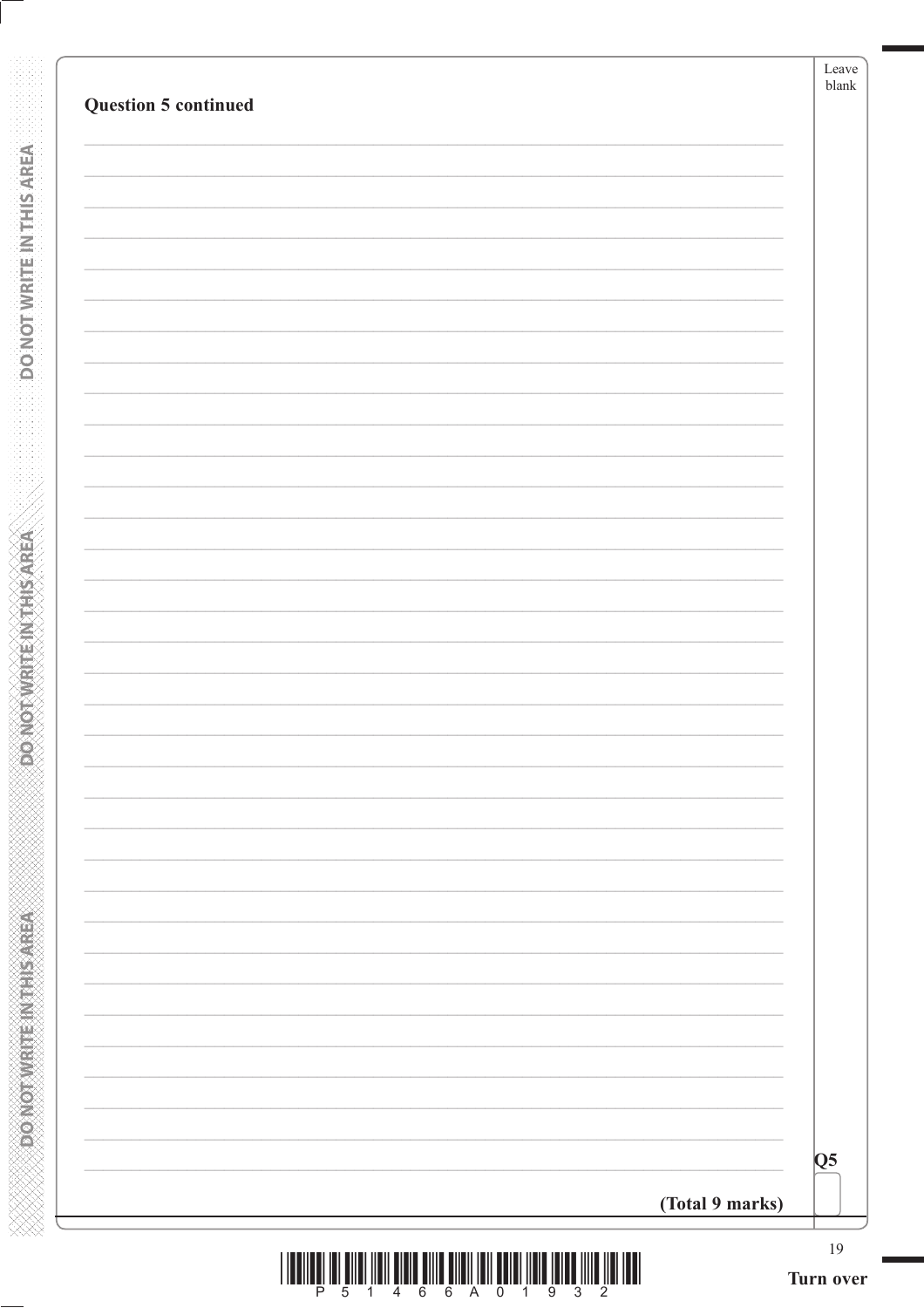| <b>Question 5 continued</b> |                 |                 |
|-----------------------------|-----------------|-----------------|
|                             |                 |                 |
|                             |                 |                 |
|                             |                 |                 |
|                             |                 |                 |
|                             |                 |                 |
|                             |                 |                 |
|                             |                 |                 |
|                             |                 |                 |
|                             |                 |                 |
|                             |                 |                 |
|                             |                 |                 |
|                             |                 |                 |
|                             |                 |                 |
|                             |                 |                 |
|                             |                 |                 |
|                             |                 |                 |
|                             |                 |                 |
|                             |                 |                 |
|                             |                 |                 |
|                             |                 |                 |
|                             |                 |                 |
|                             |                 | $\overline{Q5}$ |
|                             | (Total 9 marks) |                 |

**DONOTWRITE INTHIS AREA** 

**PONOTWRITEINITHSAREA** 

**ANNAN ANNAN ANNAN ANNAN ANNAN ANN**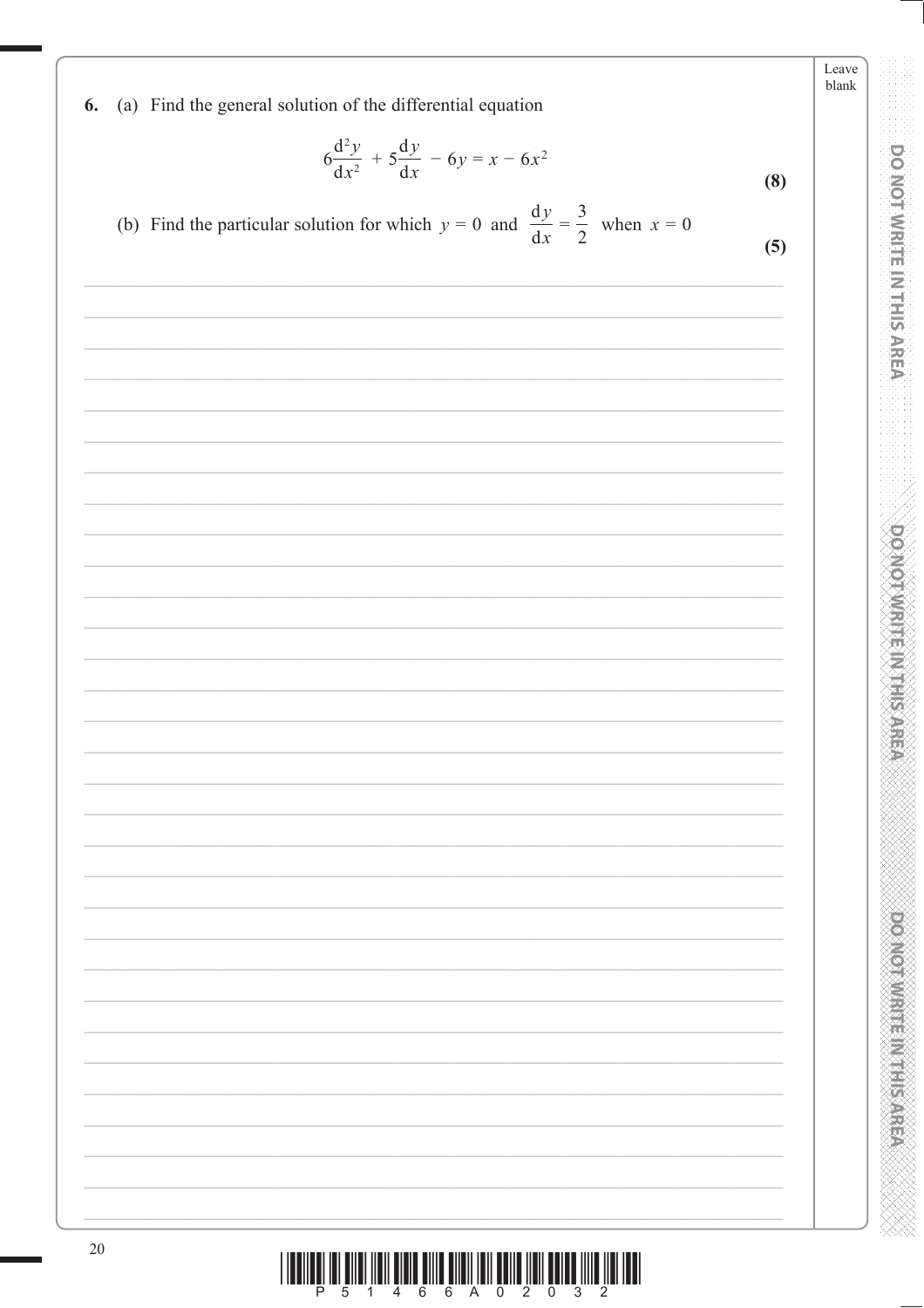(a) Find the general solution of the differential equation 6.

$$
6\frac{d^2y}{dx^2} + 5\frac{dy}{dx} - 6y = x - 6x^2
$$
 (8)

(b) Find the particular solution for which  $y = 0$  and  $\frac{dy}{dx} = \frac{3}{2}$  when  $x = 0$  $(5)$ 

| $20\,$ |  |  |
|--------|--|--|
|        |  |  |
|        |  |  |
|        |  |  |
|        |  |  |
|        |  |  |
|        |  |  |
|        |  |  |
|        |  |  |
|        |  |  |
|        |  |  |
|        |  |  |
|        |  |  |
|        |  |  |
|        |  |  |
|        |  |  |
|        |  |  |
|        |  |  |
|        |  |  |
|        |  |  |
|        |  |  |
|        |  |  |
|        |  |  |
|        |  |  |
|        |  |  |
|        |  |  |
|        |  |  |
|        |  |  |
|        |  |  |
|        |  |  |
|        |  |  |
|        |  |  |
|        |  |  |
|        |  |  |
|        |  |  |
|        |  |  |
|        |  |  |

 $\textcolor{red}{\textbf{|||||_{\textbf{||}}||_{\textbf{||}}}} \textcolor{red}{||| \textbf{||} ||_{\textbf{||}} \textbf{||} \textbf{||} \textbf{||} \textbf{||} \textbf{||} \textbf{||} \textbf{||} \textbf{||} \textbf{||} \textbf{||} \textbf{||} \textbf{||} \textbf{||} \textbf{||} \textbf{||} \textbf{||} \textbf{||} \textbf{||} \textbf{||} \textbf{||} \textbf{||} \textbf{||} \textbf{||} \textbf{||} \textbf{||} \textbf{||} \textbf{||} \textbf{||} }$ 

**DO MOT WRITE IN THIS AREA** 

Leave blank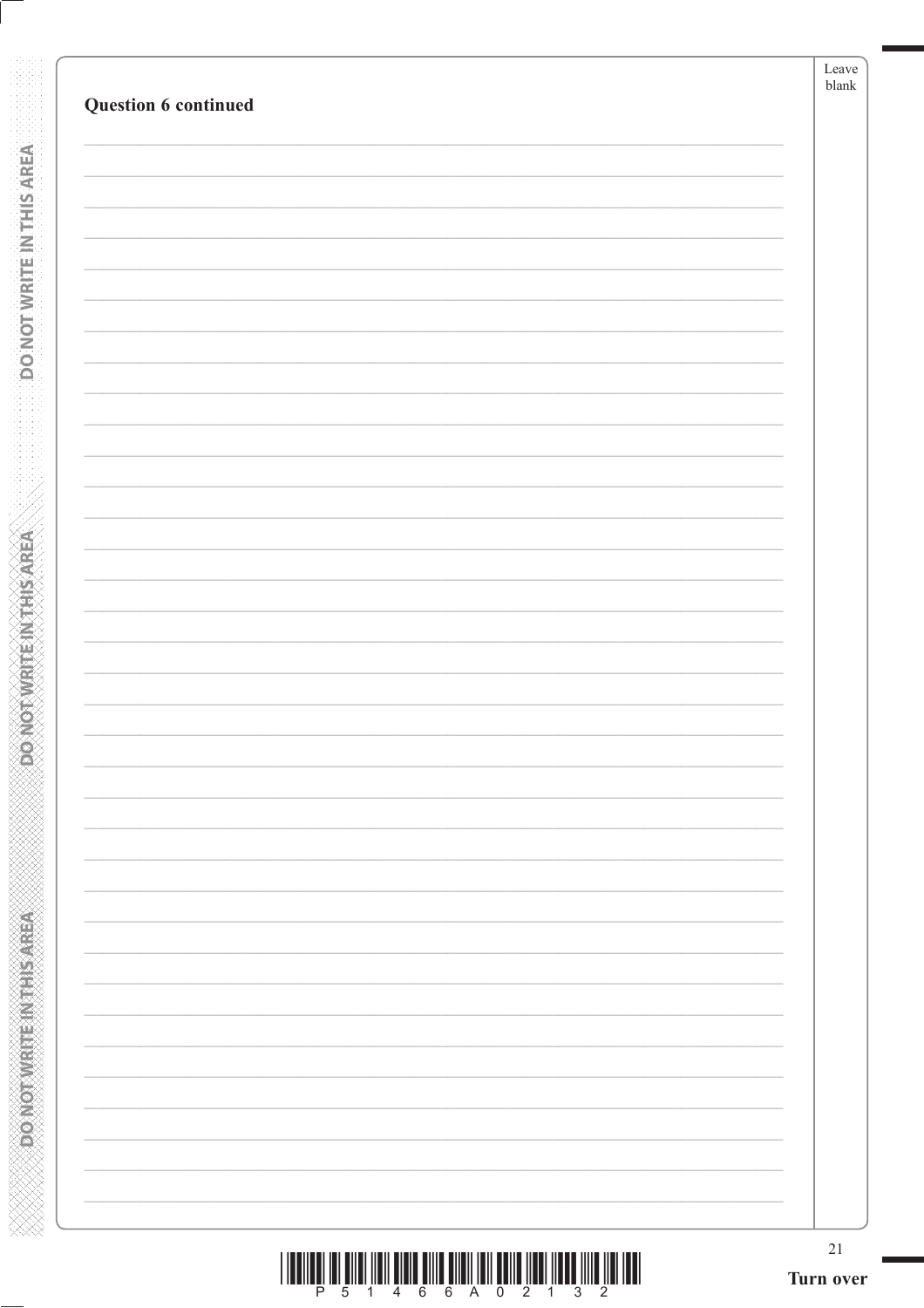**DONOTWEITEINTHIS AREA** 

**DONOTWRITEINTHIS AREA**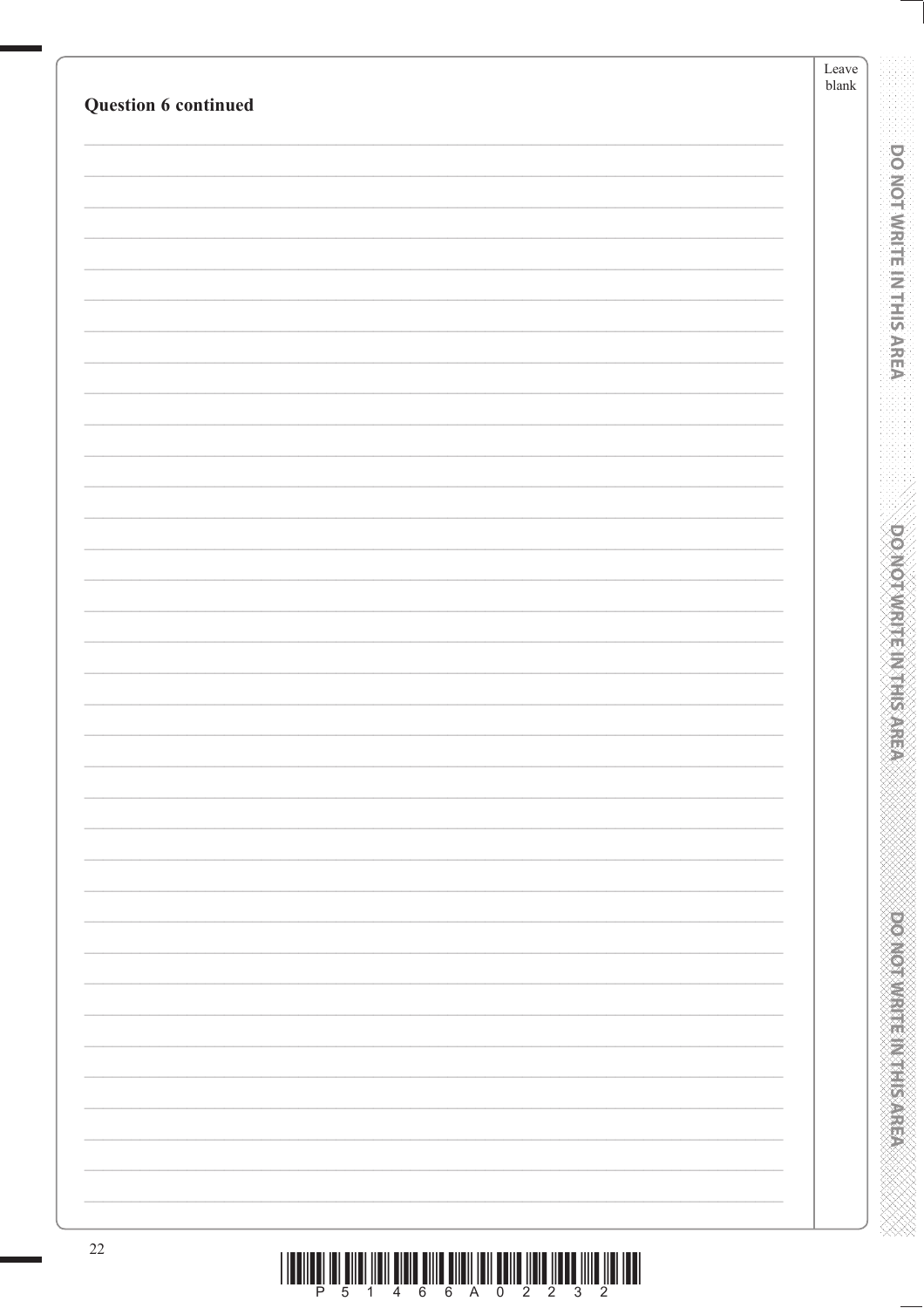| Question 6 continued | ${\rm Leave}$<br>$\ensuremath{\mathit{blank}}$ |
|----------------------|------------------------------------------------|
|                      |                                                |
|                      |                                                |
|                      |                                                |
|                      |                                                |
|                      |                                                |
|                      |                                                |
|                      |                                                |
|                      |                                                |
|                      |                                                |
|                      |                                                |
|                      |                                                |
|                      |                                                |
|                      |                                                |
|                      |                                                |
|                      |                                                |
|                      |                                                |
|                      |                                                |
|                      |                                                |
|                      |                                                |
|                      |                                                |
|                      |                                                |
|                      |                                                |
|                      |                                                |
|                      |                                                |
|                      |                                                |
|                      |                                                |
|                      |                                                |
|                      |                                                |
|                      |                                                |
|                      |                                                |
|                      |                                                |
|                      |                                                |
|                      |                                                |
|                      |                                                |
|                      |                                                |
|                      |                                                |
|                      |                                                |
|                      |                                                |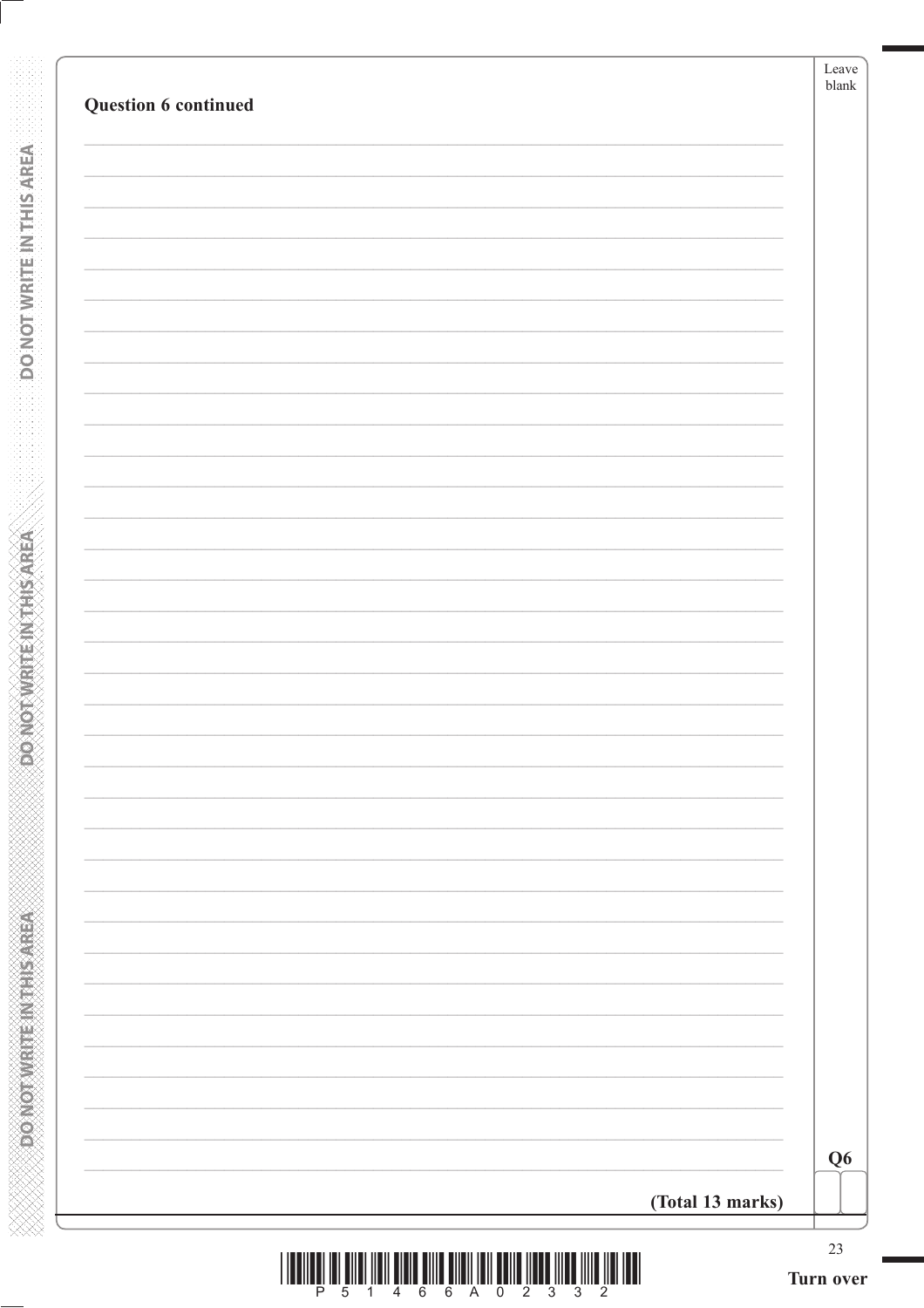**DONOTWRITEINTHISAREA** 

**POINOT WRITEIN THIS AREA** 

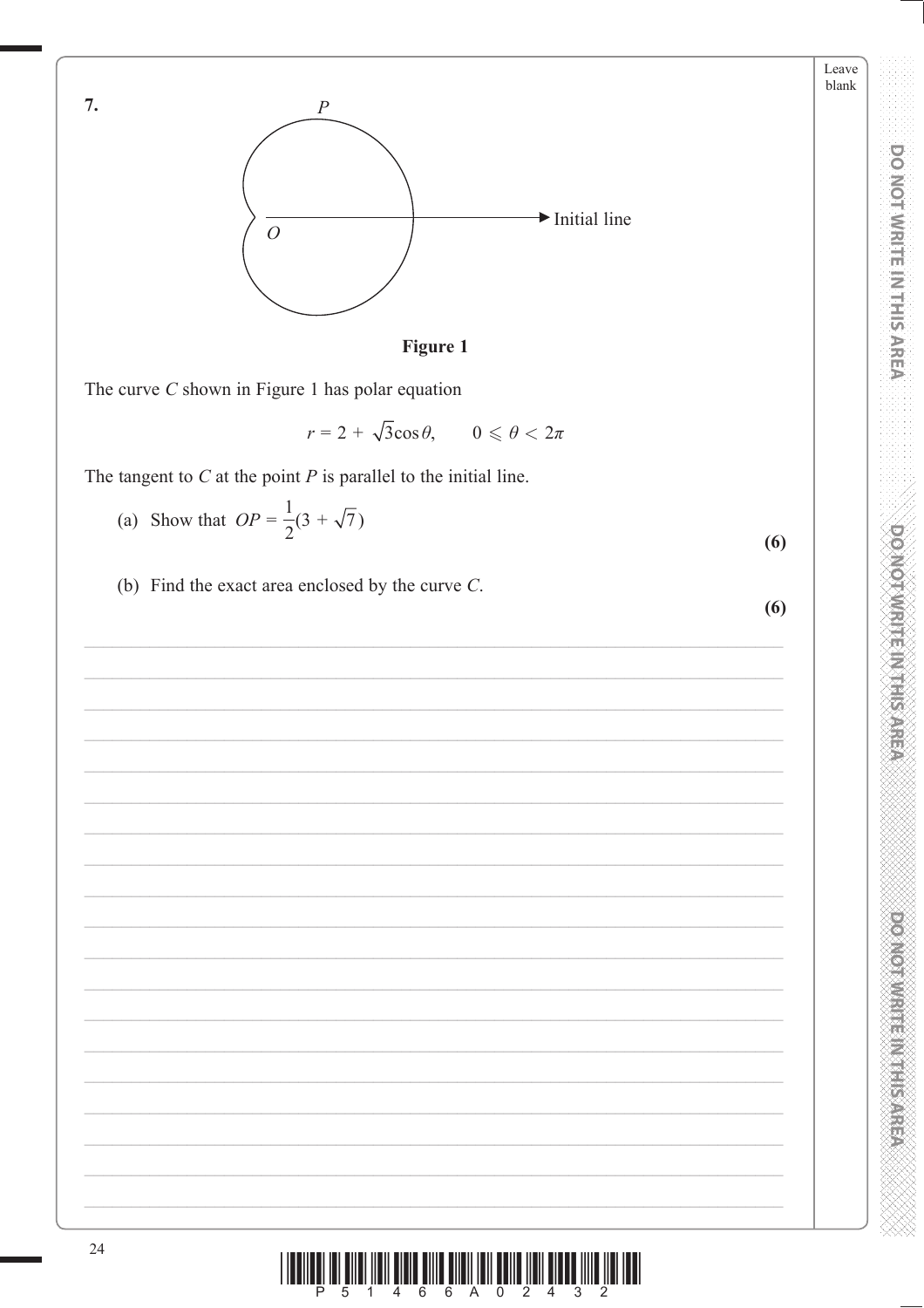Leave blank

**DOMOTHMENT ENGINEER** 





The curve  $C$  shown in Figure 1 has polar equation

 $r = 2 + \sqrt{3}\cos\theta$ ,  $0 \leqslant \theta < 2\pi$ 

The tangent to  $C$  at the point  $P$  is parallel to the initial line.

- (a) Show that  $OP = \frac{1}{2}(3 + \sqrt{7})$  $(6)$
- (b) Find the exact area enclosed by the curve  $C$ .

 $(6)$ 

Ш P

 $\overline{7}$ .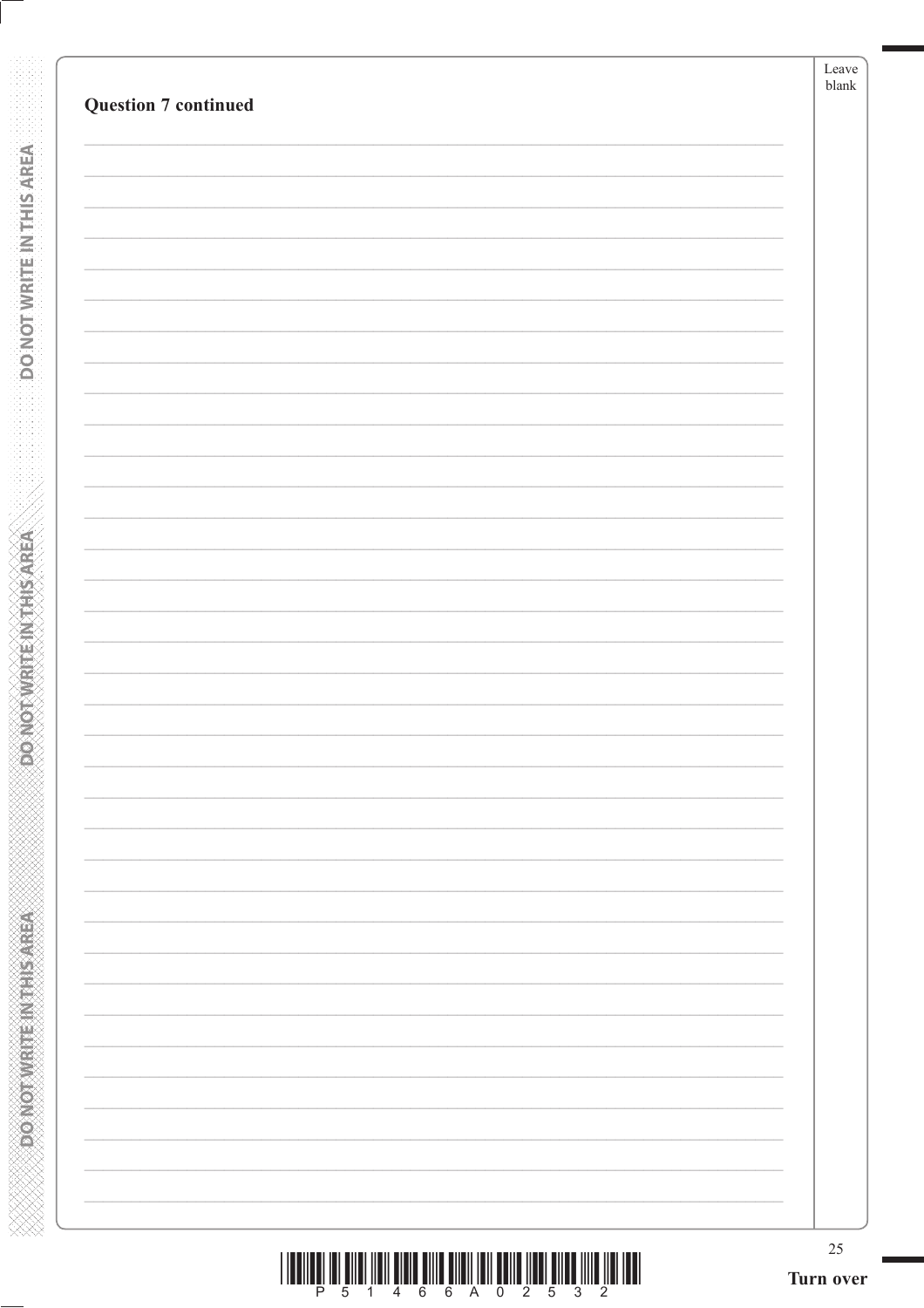|  | $25\,$<br>Turn over |
|--|---------------------|
|  |                     |
|  |                     |
|  |                     |
|  |                     |
|  |                     |
|  |                     |
|  |                     |
|  |                     |
|  |                     |
|  |                     |
|  |                     |
|  |                     |
|  |                     |
|  |                     |
|  |                     |
|  |                     |
|  |                     |
|  |                     |
|  |                     |
|  |                     |
|  |                     |
|  |                     |
|  |                     |
|  |                     |
|  |                     |
|  |                     |

**DONOTWEITEINTHIS AREA** 

**Expression what Elixabet Aristo** 

| <u> III Alian Alian Alian Alian Alian Alian Alian Alian Alian Alian Alian Alian Alian Alian Alian Alian Alian Ali</u> |  |  |  |  |  |  |
|-----------------------------------------------------------------------------------------------------------------------|--|--|--|--|--|--|
|                                                                                                                       |  |  |  |  |  |  |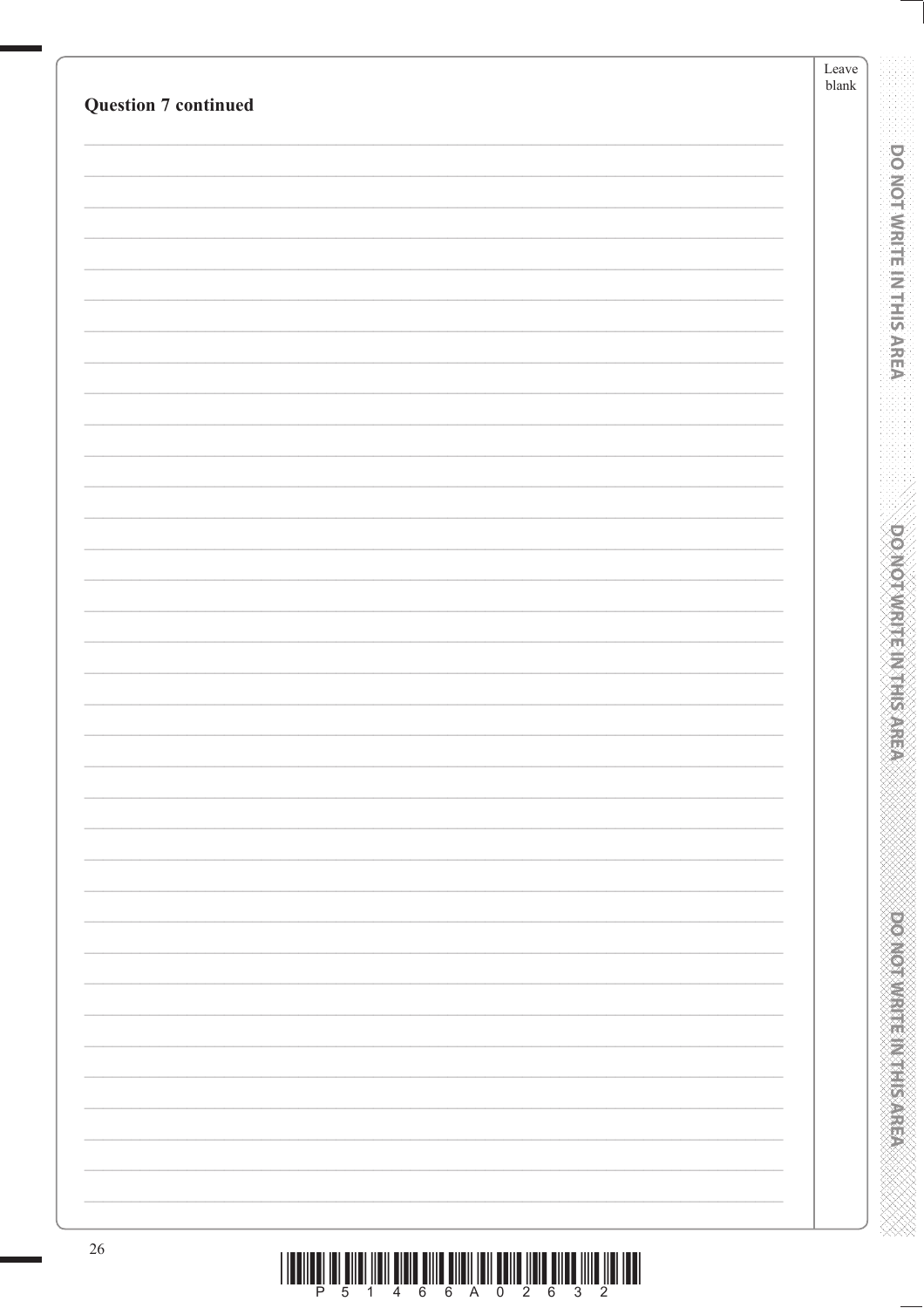| <b>Question 7 continued</b> | Leave<br>${\tt blank}$ |
|-----------------------------|------------------------|
|                             |                        |
|                             |                        |
|                             |                        |
|                             |                        |
|                             |                        |
|                             |                        |
|                             |                        |
|                             |                        |
|                             |                        |
|                             |                        |
|                             |                        |
|                             |                        |
|                             |                        |
|                             |                        |
|                             |                        |
|                             |                        |
|                             |                        |
|                             |                        |
|                             |                        |
|                             |                        |
|                             |                        |
|                             |                        |
|                             |                        |
|                             |                        |
|                             |                        |
|                             |                        |
|                             |                        |
|                             |                        |
|                             |                        |
|                             |                        |
|                             |                        |
|                             |                        |
|                             |                        |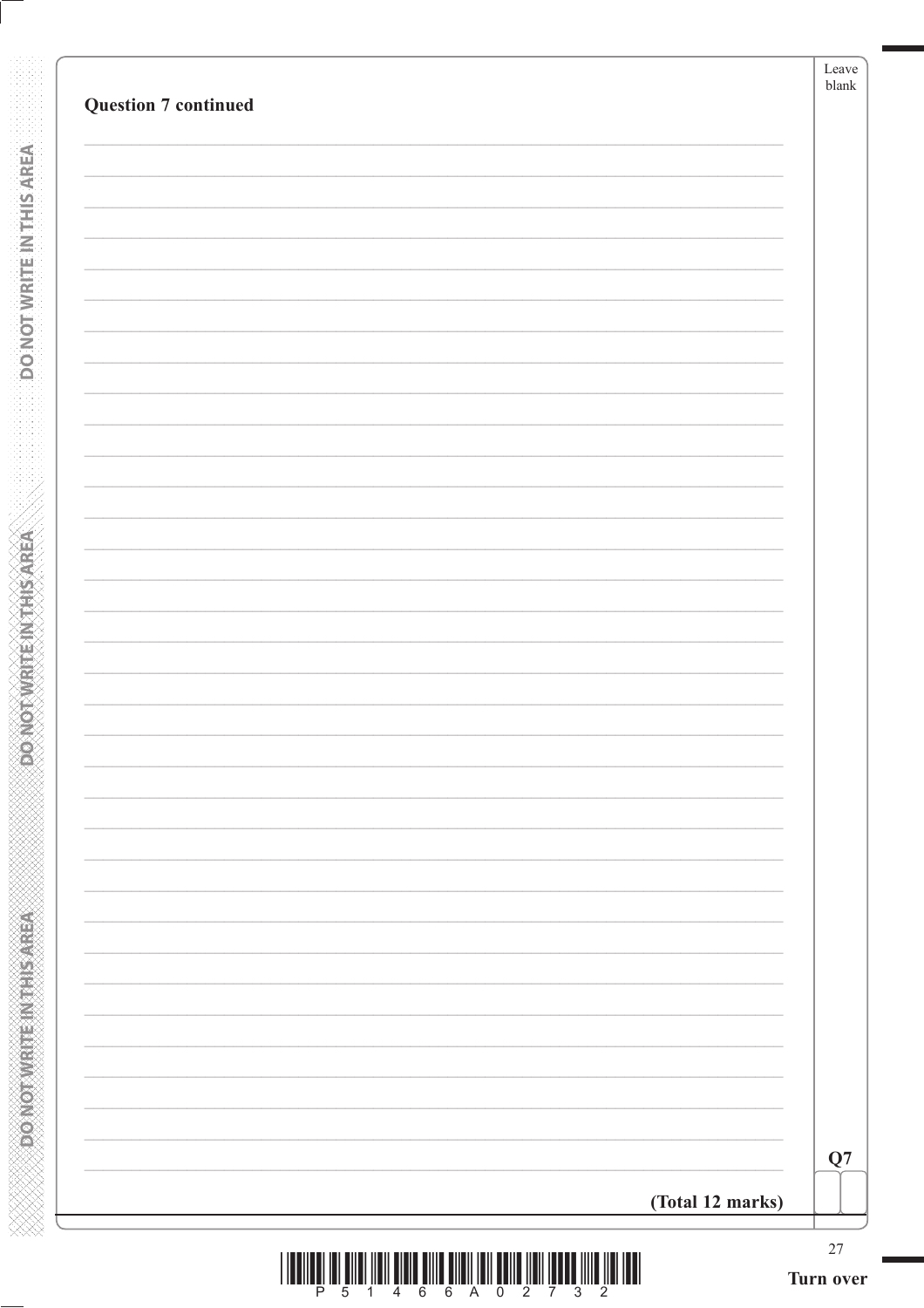**DONOTWRITE INTHIS AREA** 

**PONOTWRITEINITHSAREA** 

**XXXXXXXXXXXXXXXXXXXXXXXXXXXXX**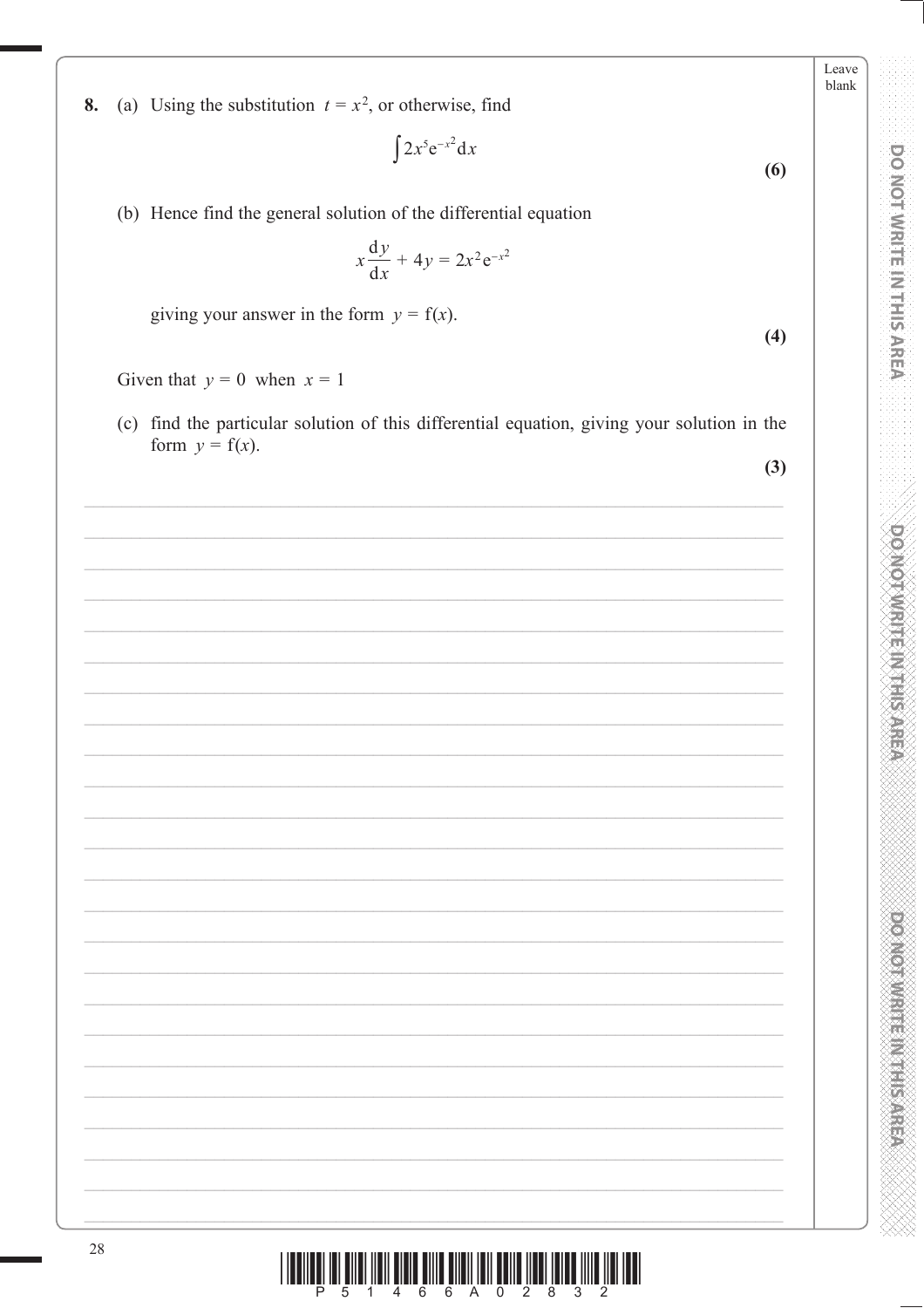| (a) Using the substitution $t = x^2$ , or otherwise, find |  |
|-----------------------------------------------------------|--|
|-----------------------------------------------------------|--|

$$
\int 2x^5 e^{-x^2} dx
$$
 (6)

(b) Hence find the general solution of the differential equation

$$
x\frac{\mathrm{d}y}{\mathrm{d}x} + 4y = 2x^2 \mathrm{e}^{-x^2}
$$

giving your answer in the form  $y = f(x)$ .

Given that  $y = 0$  when  $x = 1$ 

8.

(c) find the particular solution of this differential equation, giving your solution in the form  $y = f(x)$ .

 $(3)$ 

 $(4)$ 

Leave blank

**DO NOT WRITE IN THIS AREA** 

**DOMOTAMENT AT HIS AREA** 

**DOOMOTOWREE MEETINGS**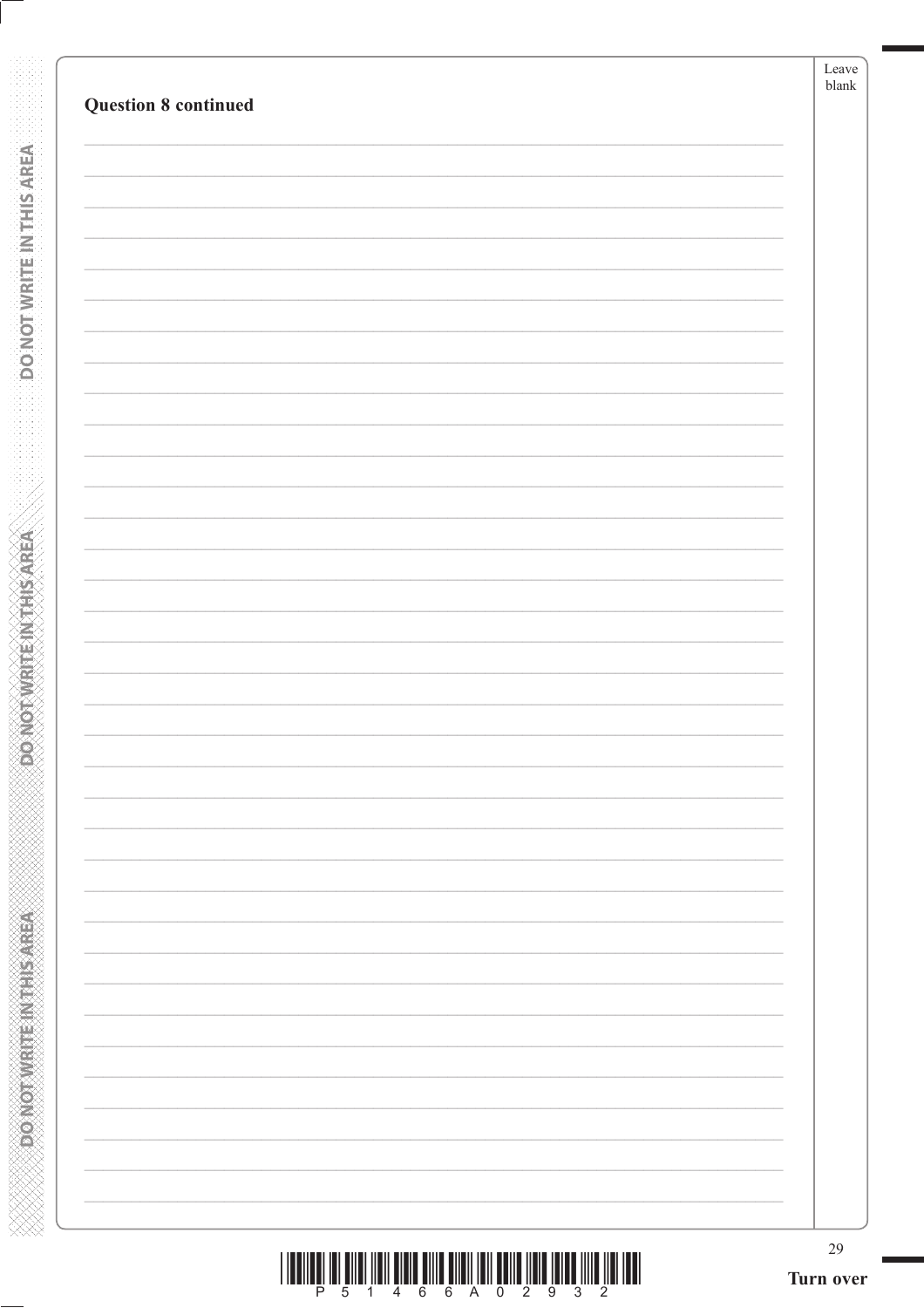**BONOTWATEINTHIS AREA** 

**ESPANDAMENT EIN THIS AREA**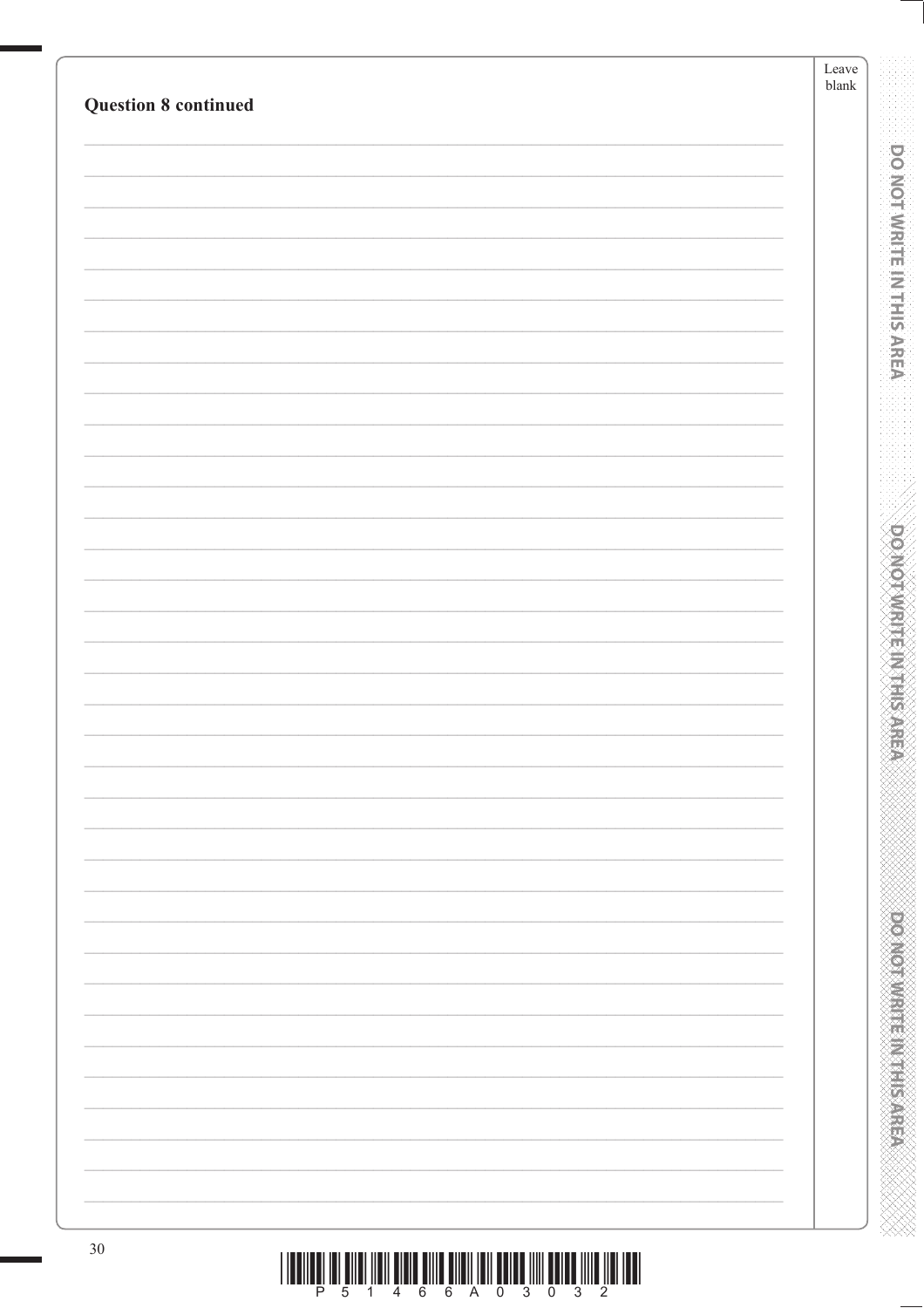|                             |  | Leave<br>${\tt blank}$ |
|-----------------------------|--|------------------------|
| <b>Question 8 continued</b> |  |                        |
|                             |  |                        |
|                             |  |                        |
|                             |  |                        |
|                             |  |                        |
|                             |  |                        |
|                             |  |                        |
|                             |  |                        |
|                             |  |                        |
|                             |  |                        |
|                             |  |                        |
|                             |  |                        |
|                             |  |                        |
|                             |  |                        |
|                             |  |                        |
|                             |  |                        |
|                             |  |                        |
|                             |  |                        |
|                             |  |                        |
|                             |  |                        |
|                             |  |                        |
|                             |  |                        |
|                             |  |                        |
|                             |  |                        |
|                             |  |                        |
|                             |  |                        |
|                             |  |                        |
|                             |  |                        |
|                             |  |                        |
|                             |  |                        |
|                             |  |                        |
|                             |  |                        |
|                             |  |                        |
|                             |  |                        |

 $\begin{array}{c} \hbox{||ll}{\quad \ \ \, ||{\bf u}||^2_{\ \ \, ||{\bf u}||^2_{\ \ \, ||{\bf u}||^2_{\ \ \, ||{\bf u}||^2_{\ \ \, ||{\bf u}||^2_{\ \ \, ||{\bf u}||^2_{\ \ \, ||{\bf u}||^2_{\ \ \, ||{\bf u}||^2_{\ \ \, ||{\bf u}||^2_{\ \ \, ||{\bf u}||^2_{\ \ \, ||{\bf u}||^2_{\ \ \, ||{\bf u}||^2_{\ \ \, ||{\bf u}||^2_{\ \ \, ||{\bf$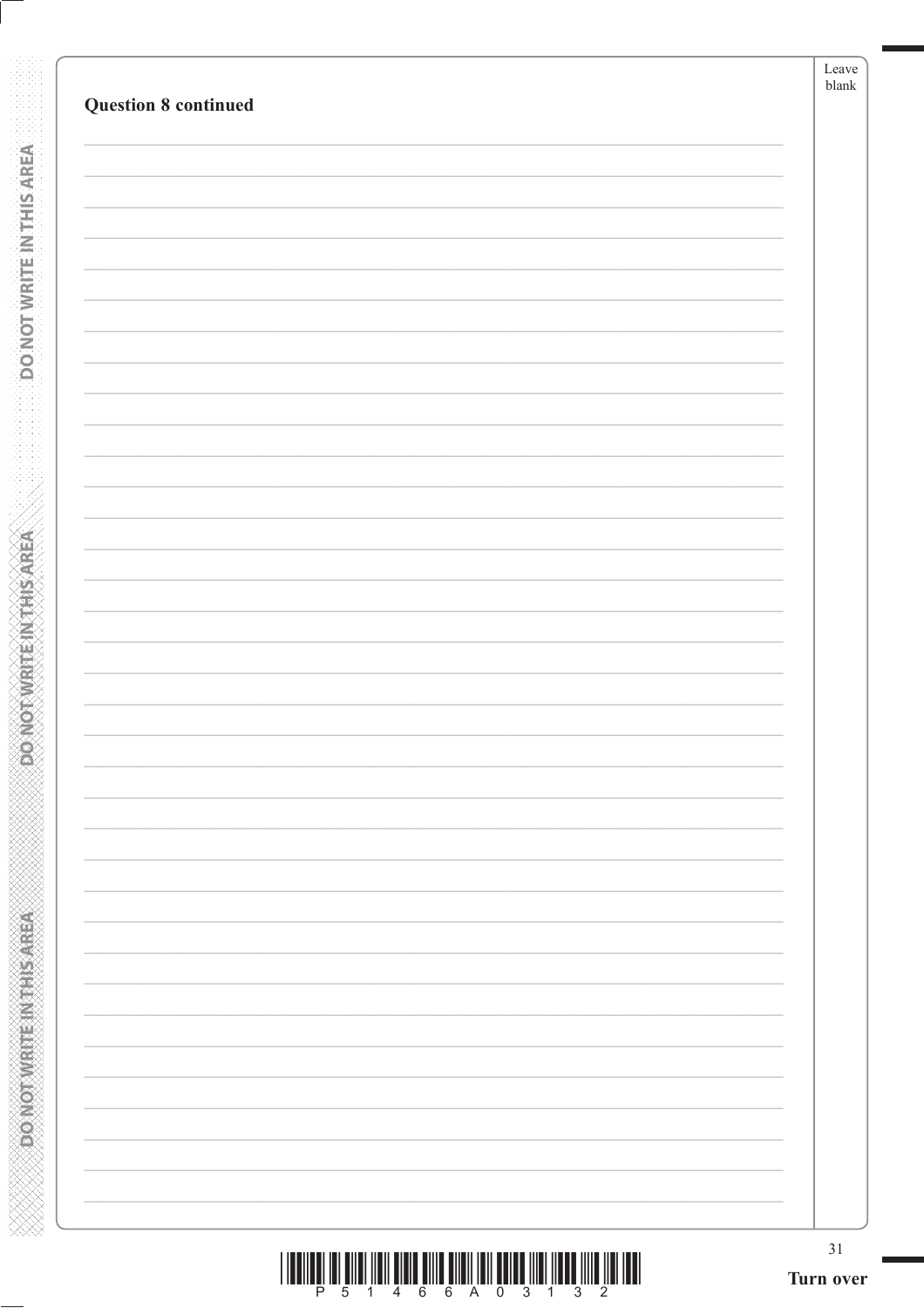**DONOTWEITEINTHIS AREA** 

**Expression what Elixabet Aristo**